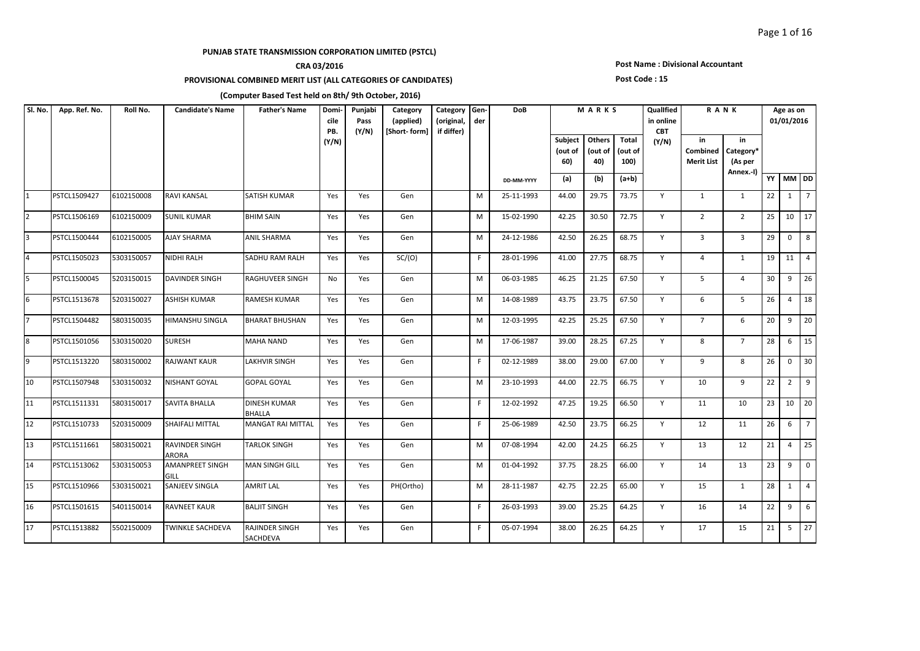## **CRA 03/2016**

### **PROVISIONAL COMBINED MERIT LIST (ALL CATEGORIES OF CANDIDATES)**

### **Post Name : Divisional Accountant**

#### **Post Code : 15**

| Sl. No.        | App. Ref. No. | Roll No.   | <b>Candidate's Name</b>               | <b>Father's Name</b>                 | Domi-<br>cile<br>PB. | Punjabi<br>Pass<br>(Y/N) | Category<br>(applied)<br>[Short-form] | Category<br>(original,<br>if differ) | Gen-<br>der | DoB        |                                  | MARKS                    |                                 | Qualified<br>in online<br><b>CBT</b> |                                     | <b>RANK</b>                             |    | Age as on<br>01/01/2016 |                 |
|----------------|---------------|------------|---------------------------------------|--------------------------------------|----------------------|--------------------------|---------------------------------------|--------------------------------------|-------------|------------|----------------------------------|--------------------------|---------------------------------|--------------------------------------|-------------------------------------|-----------------------------------------|----|-------------------------|-----------------|
|                |               |            |                                       |                                      | (Y/N)                |                          |                                       |                                      |             |            | <b>Subject</b><br>(out of<br>60) | Others<br>(out of<br>40) | <b>Total</b><br>(out of<br>100) | (Y/N)                                | in<br>Combined<br><b>Merit List</b> | in<br>Category*<br>(As per<br>Annex.-I) |    |                         |                 |
|                |               |            |                                       |                                      |                      |                          |                                       |                                      |             | DD-MM-YYYY | (a)                              | (b)                      | $(a+b)$                         |                                      |                                     |                                         |    | YY MM DD                |                 |
| 1              | PSTCL1509427  | 6102150008 | <b>RAVI KANSAL</b>                    | SATISH KUMAR                         | Yes                  | Yes                      | Gen                                   |                                      | M           | 25-11-1993 | 44.00                            | 29.75                    | 73.75                           | Y                                    | $\mathbf{1}$                        | 1                                       | 22 | 1                       | $\overline{7}$  |
| $\overline{2}$ | PSTCL1506169  | 6102150009 | <b>SUNIL KUMAR</b>                    | <b>BHIM SAIN</b>                     | Yes                  | Yes                      | Gen                                   |                                      | М           | 15-02-1990 | 42.25                            | 30.50                    | 72.75                           | Y                                    | $\overline{2}$                      | $\overline{2}$                          | 25 | 10                      | $\vert$ 17      |
| 3              | PSTCL1500444  | 6102150005 | <b>AJAY SHARMA</b>                    | <b>ANIL SHARMA</b>                   | Yes                  | Yes                      | Gen                                   |                                      | м           | 24-12-1986 | 42.50                            | 26.25                    | 68.75                           | Y                                    | $\overline{3}$                      | $\overline{3}$                          | 29 | $\mathbf 0$             | 8               |
| 4              | PSTCL1505023  | 5303150057 | <b>NIDHI RALH</b>                     | SADHU RAM RALH                       | Yes                  | Yes                      | SC/(O)                                |                                      | F.          | 28-01-1996 | 41.00                            | 27.75                    | 68.75                           | Y                                    | $\overline{4}$                      | $\mathbf{1}$                            | 19 |                         | $11 \mid 4$     |
| 5              | PSTCL1500045  | 5203150015 | <b>DAVINDER SINGH</b>                 | RAGHUVEER SINGH                      | No                   | Yes                      | Gen                                   |                                      | M           | 06-03-1985 | 46.25                            | 21.25                    | 67.50                           | Y                                    | 5 <sup>1</sup>                      | $\overline{4}$                          | 30 | 9                       | 26              |
| 6              | PSTCL1513678  | 5203150027 | <b>ASHISH KUMAR</b>                   | RAMESH KUMAR                         | Yes                  | Yes                      | Gen                                   |                                      | M           | 14-08-1989 | 43.75                            | 23.75                    | 67.50                           | Y                                    | 6                                   | $5^{\circ}$                             | 26 | $\overline{4}$          | 18              |
| 17             | PSTCL1504482  | 5803150035 | <b>HIMANSHU SINGLA</b>                | <b>BHARAT BHUSHAN</b>                | Yes                  | Yes                      | Gen                                   |                                      | M           | 12-03-1995 | 42.25                            | 25.25                    | 67.50                           | Y                                    | $7^{\circ}$                         | 6                                       | 20 | 9                       | $\overline{20}$ |
| 8              | PSTCL1501056  | 5303150020 | <b>SURESH</b>                         | MAHA NAND                            | Yes                  | Yes                      | Gen                                   |                                      | M           | 17-06-1987 | 39.00                            | 28.25                    | 67.25                           | Y                                    | 8                                   | $7^{\circ}$                             | 28 | 6                       | $\frac{1}{15}$  |
| 9              | PSTCL1513220  | 5803150002 | <b>RAJWANT KAUR</b>                   | <b>LAKHVIR SINGH</b>                 | Yes                  | Yes                      | Gen                                   |                                      | F.          | 02-12-1989 | 38.00                            | 29.00                    | 67.00                           | Y                                    | 9                                   | 8                                       | 26 | $\mathbf 0$             | 30              |
| 10             | PSTCL1507948  | 5303150032 | <b>NISHANT GOYAL</b>                  | <b>GOPAL GOYAL</b>                   | Yes                  | Yes                      | Gen                                   |                                      | M           | 23-10-1993 | 44.00                            | 22.75                    | 66.75                           | Y                                    | 10                                  | 9                                       | 22 | $\overline{2}$          | $\vert$ 9       |
| 11             | PSTCL1511331  | 5803150017 | <b>SAVITA BHALLA</b>                  | <b>DINESH KUMAR</b><br><b>BHALLA</b> | Yes                  | Yes                      | Gen                                   |                                      | F.          | 12-02-1992 | 47.25                            | 19.25                    | 66.50                           | Y                                    | 11                                  | 10                                      | 23 | 10                      | 20              |
| 12             | PSTCL1510733  | 5203150009 | <b>SHAIFALI MITTAL</b>                | MANGAT RAI MITTAL                    | Yes                  | Yes                      | Gen                                   |                                      | F.          | 25-06-1989 | 42.50                            | 23.75                    | 66.25                           | Y                                    | 12                                  | 11                                      | 26 | 6                       | $\overline{7}$  |
| 13             | PSTCL1511661  | 5803150021 | <b>RAVINDER SINGH</b><br><b>ARORA</b> | TARLOK SINGH                         | Yes                  | Yes                      | Gen                                   |                                      | M           | 07-08-1994 | 42.00                            | 24.25                    | 66.25                           | Y                                    | 13                                  | 12                                      | 21 | $\overline{4}$          | 25              |
| 14             | PSTCL1513062  | 5303150053 | <b>AMANPREET SINGH</b><br>GILL        | MAN SINGH GILL                       | Yes                  | Yes                      | Gen                                   |                                      | М           | 01-04-1992 | 37.75                            | 28.25                    | 66.00                           | Y                                    | 14                                  | 13                                      | 23 | 9                       | $\overline{0}$  |
| 15             | PSTCL1510966  | 5303150021 | <b>SANJEEV SINGLA</b>                 | AMRIT LAL                            | Yes                  | Yes                      | PH(Ortho)                             |                                      | M           | 28-11-1987 | 42.75                            | 22.25                    | 65.00                           | Y                                    | 15                                  | 1                                       | 28 | 1                       | $\overline{4}$  |
| 16             | PSTCL1501615  | 5401150014 | <b>RAVNEET KAUR</b>                   | <b>BALJIT SINGH</b>                  | Yes                  | Yes                      | Gen                                   |                                      | F.          | 26-03-1993 | 39.00                            | 25.25                    | 64.25                           | Y                                    | 16                                  | 14                                      | 22 | 9                       | $6\phantom{1}$  |
| 17             | PSTCL1513882  | 5502150009 | <b>TWINKLE SACHDEVA</b>               | RAJINDER SINGH<br>SACHDEVA           | Yes                  | Yes                      | Gen                                   |                                      | F.          | 05-07-1994 | 38.00                            | 26.25                    | 64.25                           | Y                                    | 17                                  | 15                                      | 21 | 5                       | $\overline{27}$ |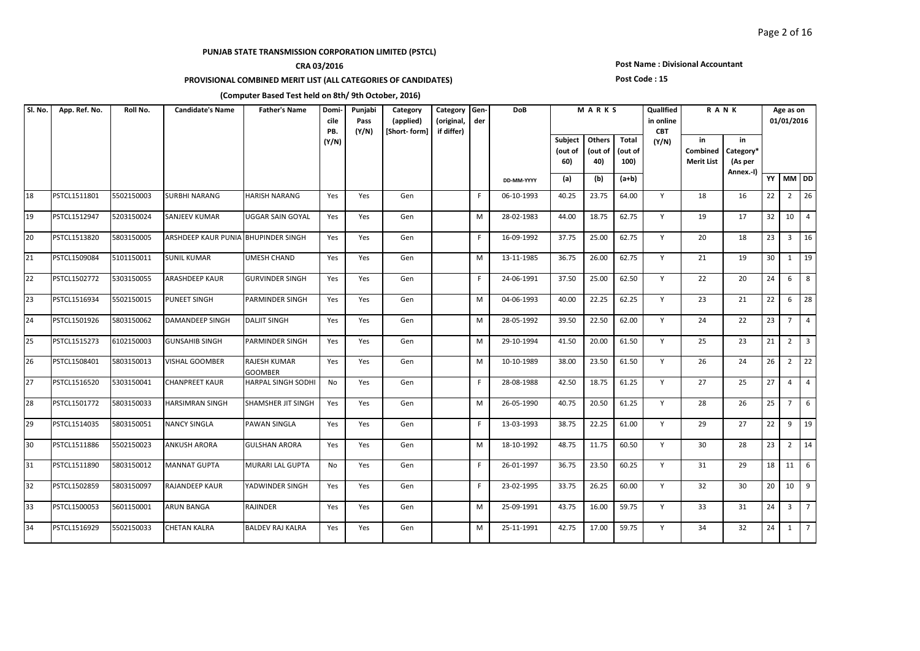## **CRA 03/2016**

### **PROVISIONAL COMBINED MERIT LIST (ALL CATEGORIES OF CANDIDATES)**

### **Post Name : Divisional Accountant**

#### **Post Code : 15**

| SI. No. | App. Ref. No. | Roll No.   | <b>Candidate's Name</b>             | <b>Father's Name</b>           | Domi-<br>cile<br>PB. | Punjabi<br>Pass<br>(Y/N) | Category<br>(applied)<br>[Short-form] | Category Gen-<br>(original,<br>if differ) | der | <b>DoB</b> |                                  | MARKS                    |                          | Qualified<br>in online<br><b>CBT</b> |                                     | <b>RANK</b>                             |    | Age as on<br>01/01/2016 |                         |
|---------|---------------|------------|-------------------------------------|--------------------------------|----------------------|--------------------------|---------------------------------------|-------------------------------------------|-----|------------|----------------------------------|--------------------------|--------------------------|--------------------------------------|-------------------------------------|-----------------------------------------|----|-------------------------|-------------------------|
|         |               |            |                                     |                                | (Y/N)                |                          |                                       |                                           |     |            | <b>Subject</b><br>(out of<br>60) | Others<br>(out of<br>40) | Total<br>(out of<br>100) | (Y/N)                                | in<br>Combined<br><b>Merit List</b> | in<br>Category*<br>(As per<br>Annex.-I) |    |                         |                         |
|         |               |            |                                     |                                |                      |                          |                                       |                                           |     | DD-MM-YYYY | (a)                              | (b)                      | $(a+b)$                  |                                      |                                     |                                         | YY | MM DD                   |                         |
| 18      | PSTCL1511801  | 5502150003 | <b>SURBHI NARANG</b>                | HARISH NARANG                  | Yes                  | Yes                      | Gen                                   |                                           | F.  | 06-10-1993 | 40.25                            | 23.75                    | 64.00                    | Y                                    | 18                                  | 16                                      | 22 | $\overline{2}$          | 26                      |
| 19      | PSTCL1512947  | 5203150024 | <b>SANJEEV KUMAR</b>                | UGGAR SAIN GOYAL               | Yes                  | Yes                      | Gen                                   |                                           | M   | 28-02-1983 | 44.00                            | 18.75                    | 62.75                    | Y                                    | 19                                  | 17                                      | 32 | 10 <sup>1</sup>         | $\overline{4}$          |
| 20      | PSTCL1513820  | 5803150005 | ARSHDEEP KAUR PUNIA BHUPINDER SINGH |                                | Yes                  | Yes                      | Gen                                   |                                           | F.  | 16-09-1992 | 37.75                            | 25.00                    | 62.75                    | Y                                    | 20                                  | 18                                      | 23 | $\overline{3}$          | 16                      |
| 21      | PSTCL1509084  | 5101150011 | <b>SUNIL KUMAR</b>                  | UMESH CHAND                    | Yes                  | Yes                      | Gen                                   |                                           | M   | 13-11-1985 | 36.75                            | 26.00                    | 62.75                    | Y                                    | 21                                  | 19                                      | 30 | 1                       | $\sqrt{19}$             |
| 22      | PSTCL1502772  | 5303150055 | <b>ARASHDEEP KAUR</b>               | <b>GURVINDER SINGH</b>         | Yes                  | Yes                      | Gen                                   |                                           | F.  | 24-06-1991 | 37.50                            | 25.00                    | 62.50                    | Y                                    | 22                                  | 20                                      | 24 | 6                       | 8                       |
| 23      | PSTCL1516934  | 5502150015 | <b>PUNEET SINGH</b>                 | <b>PARMINDER SINGH</b>         | Yes                  | Yes                      | Gen                                   |                                           | M   | 04-06-1993 | 40.00                            | 22.25                    | 62.25                    | Y                                    | 23                                  | 21                                      | 22 | 6                       | 28                      |
| 24      | PSTCL1501926  | 5803150062 | <b>DAMANDEEP SINGH</b>              | <b>DALJIT SINGH</b>            | Yes                  | Yes                      | Gen                                   |                                           | M   | 28-05-1992 | 39.50                            | 22.50                    | 62.00                    | Y                                    | 24                                  | 22                                      | 23 | $\overline{7}$          | $\overline{4}$          |
| 25      | PSTCL1515273  | 6102150003 | <b>GUNSAHIB SINGH</b>               | PARMINDER SINGH                | Yes                  | Yes                      | Gen                                   |                                           | M   | 29-10-1994 | 41.50                            | 20.00                    | 61.50                    | Y                                    | 25                                  | 23                                      | 21 | $\overline{2}$          | $\overline{\mathbf{3}}$ |
| 26      | PSTCL1508401  | 5803150013 | <b>VISHAL GOOMBER</b>               | RAJESH KUMAR<br><b>GOOMBER</b> | Yes                  | Yes                      | Gen                                   |                                           | M   | 10-10-1989 | 38.00                            | 23.50                    | 61.50                    | Y                                    | 26                                  | 24                                      | 26 | $\overline{2}$          | 22                      |
| 27      | PSTCL1516520  | 5303150041 | <b>CHANPREET KAUR</b>               | HARPAL SINGH SODHI             | No                   | Yes                      | Gen                                   |                                           | F.  | 28-08-1988 | 42.50                            | 18.75                    | 61.25                    | Y                                    | 27                                  | 25                                      | 27 | $\overline{4}$          | $\vert$ 4               |
| 28      | PSTCL1501772  | 5803150033 | <b>HARSIMRAN SINGH</b>              | SHAMSHER JIT SINGH             | Yes                  | Yes                      | Gen                                   |                                           | M   | 26-05-1990 | 40.75                            | 20.50                    | 61.25                    | Y                                    | 28                                  | 26                                      | 25 | $7\overline{ }$         | 6                       |
| 29      | PSTCL1514035  | 5803150051 | <b>NANCY SINGLA</b>                 | PAWAN SINGLA                   | Yes                  | Yes                      | Gen                                   |                                           | F.  | 13-03-1993 | 38.75                            | 22.25                    | 61.00                    | Y                                    | 29                                  | 27                                      | 22 | 9                       | $\frac{1}{9}$           |
| 30      | PSTCL1511886  | 5502150023 | <b>ANKUSH ARORA</b>                 | <b>GULSHAN ARORA</b>           | Yes                  | Yes                      | Gen                                   |                                           | M   | 18-10-1992 | 48.75                            | 11.75                    | 60.50                    | Y                                    | 30                                  | 28                                      | 23 | $\overline{2}$          | 14                      |
| 31      | PSTCL1511890  | 5803150012 | <b>MANNAT GUPTA</b>                 | <b>MURARI LAL GUPTA</b>        | No                   | Yes                      | Gen                                   |                                           | F.  | 26-01-1997 | 36.75                            | 23.50                    | 60.25                    | Y                                    | 31                                  | 29                                      | 18 | 11 <sup>1</sup>         | 6                       |
| 32      | PSTCL1502859  | 5803150097 | <b>RAJANDEEP KAUR</b>               | YADWINDER SINGH                | Yes                  | Yes                      | Gen                                   |                                           | F.  | 23-02-1995 | 33.75                            | 26.25                    | 60.00                    | Y                                    | 32                                  | 30                                      | 20 |                         | 10 9                    |
| 33      | PSTCL1500053  | 5601150001 | <b>ARUN BANGA</b>                   | <b>RAJINDER</b>                | Yes                  | Yes                      | Gen                                   |                                           | M   | 25-09-1991 | 43.75                            | 16.00                    | 59.75                    | Y                                    | 33                                  | 31                                      | 24 | $\overline{3}$          | $\overline{7}$          |
| 34      | PSTCL1516929  | 5502150033 | <b>CHETAN KALRA</b>                 | <b>BALDEV RAJ KALRA</b>        | Yes                  | Yes                      | Gen                                   |                                           | M   | 25-11-1991 | 42.75                            | 17.00                    | 59.75                    | Y                                    | 34                                  | 32                                      | 24 | 1                       | $\overline{z}$          |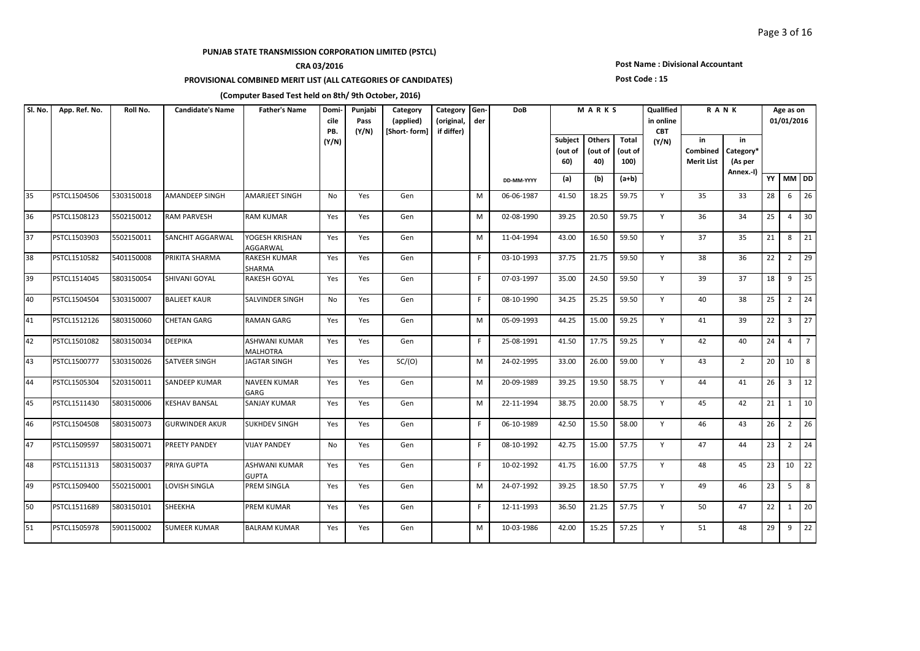## **CRA 03/2016**

### **PROVISIONAL COMBINED MERIT LIST (ALL CATEGORIES OF CANDIDATES)**

#### **Post Name : Divisional Accountant**

#### **Post Code : 15**

| SI. No. | App. Ref. No. | Roll No.   | <b>Candidate's Name</b> | <b>Father's Name</b>                 | Domi-<br>cile<br>PB. | Punjabi<br>Pass<br>(Y/N) | Category<br>(applied)<br>[Short-form] | Category<br>(original,<br>if differ) | Gen-<br>der | <b>DoB</b> |                           | MARKS                    |                          | Qualified<br>in online<br><b>CBT</b> | RANK                                       |                                         |    | Age as on<br>01/01/2016 |                   |
|---------|---------------|------------|-------------------------|--------------------------------------|----------------------|--------------------------|---------------------------------------|--------------------------------------|-------------|------------|---------------------------|--------------------------|--------------------------|--------------------------------------|--------------------------------------------|-----------------------------------------|----|-------------------------|-------------------|
|         |               |            |                         |                                      | (Y/N)                |                          |                                       |                                      |             |            | Subject<br>(out of<br>60) | Others<br>(out of<br>40) | Total<br>(out of<br>100) | (Y/N)                                | in<br><b>Combined</b><br><b>Merit List</b> | in<br>Category*<br>(As per<br>Annex.-I) |    |                         |                   |
|         |               |            |                         |                                      |                      |                          |                                       |                                      |             | DD-MM-YYYY | (a)                       | (b)                      | $(a+b)$                  |                                      |                                            |                                         |    | YY MM DD                |                   |
| 35      | PSTCL1504506  | 5303150018 | <b>AMANDEEP SINGH</b>   | AMARJEET SINGH                       | No                   | Yes                      | Gen                                   |                                      | M           | 06-06-1987 | 41.50                     | 18.25                    | 59.75                    | Y                                    | 35                                         | 33                                      | 28 | 6                       | 26                |
| 36      | PSTCL1508123  | 5502150012 | <b>RAM PARVESH</b>      | <b>RAM KUMAR</b>                     | Yes                  | Yes                      | Gen                                   |                                      | M           | 02-08-1990 | 39.25                     | 20.50                    | 59.75                    | Y                                    | 36                                         | 34                                      | 25 | $\overline{4}$          | $ 30\rangle$      |
| 37      | PSTCL1503903  | 5502150011 | <b>SANCHIT AGGARWAL</b> | YOGESH KRISHAN<br><b>AGGARWAL</b>    | Yes                  | Yes                      | Gen                                   |                                      | M           | 11-04-1994 | 43.00                     | 16.50                    | 59.50                    | Y                                    | 37                                         | 35                                      | 21 | 8                       | $\vert$ 21        |
| 38      | PSTCL1510582  | 5401150008 | PRIKITA SHARMA          | RAKESH KUMAR<br>SHARMA               | Yes                  | Yes                      | Gen                                   |                                      | F.          | 03-10-1993 | 37.75                     | 21.75                    | 59.50                    | Y                                    | 38                                         | 36                                      | 22 | $2^{\circ}$             | 129               |
| 39      | PSTCL1514045  | 5803150054 | <b>SHIVANI GOYAL</b>    | RAKESH GOYAL                         | Yes                  | Yes                      | Gen                                   |                                      | F.          | 07-03-1997 | 35.00                     | 24.50                    | 59.50                    | Y                                    | 39                                         | 37                                      | 18 |                         | $9 \mid 25$       |
| 40      | PSTCL1504504  | 5303150007 | <b>BALJEET KAUR</b>     | SALVINDER SINGH                      | <b>No</b>            | Yes                      | Gen                                   |                                      | F.          | 08-10-1990 | 34.25                     | 25.25                    | 59.50                    | Y                                    | 40                                         | 38                                      | 25 |                         | $2 \overline{24}$ |
| 41      | PSTCL1512126  | 5803150060 | <b>CHETAN GARG</b>      | <b>RAMAN GARG</b>                    | Yes                  | Yes                      | Gen                                   |                                      | M           | 05-09-1993 | 44.25                     | 15.00                    | 59.25                    | Y                                    | 41                                         | 39                                      | 22 | $\overline{3}$          | $\overline{27}$   |
| 42      | PSTCL1501082  | 5803150034 | <b>DEEPIKA</b>          | ASHWANI KUMAR<br>MALHOTRA            | Yes                  | Yes                      | Gen                                   |                                      | F.          | 25-08-1991 | 41.50                     | 17.75                    | 59.25                    | Y                                    | 42                                         | 40                                      | 24 | $\overline{4}$          | $\overline{7}$    |
| 43      | PSTCL1500777  | 5303150026 | <b>SATVEER SINGH</b>    | JAGTAR SINGH                         | Yes                  | Yes                      | SC/(O)                                |                                      | M           | 24-02-1995 | 33.00                     | 26.00                    | 59.00                    | Y                                    | 43                                         | $\overline{2}$                          | 20 | 10                      | 8                 |
| 44      | PSTCL1505304  | 5203150011 | <b>SANDEEP KUMAR</b>    | <b>NAVEEN KUMAR</b><br>GARG          | Yes                  | Yes                      | Gen                                   |                                      | М           | 20-09-1989 | 39.25                     | 19.50                    | 58.75                    | Y                                    | 44                                         | 41                                      | 26 |                         | $3 \mid 12$       |
| 45      | PSTCL1511430  | 5803150006 | <b>KESHAV BANSAL</b>    | SANJAY KUMAR                         | Yes                  | Yes                      | Gen                                   |                                      | M           | 22-11-1994 | 38.75                     | 20.00                    | 58.75                    | Y                                    | 45                                         | 42                                      | 21 |                         | $1 \mid 10$       |
| 46      | PSTCL1504508  | 5803150073 | <b>GURWINDER AKUR</b>   | <b>SUKHDEV SINGH</b>                 | Yes                  | Yes                      | Gen                                   |                                      | F.          | 06-10-1989 | 42.50                     | 15.50                    | 58.00                    | Y                                    | 46                                         | 43                                      | 26 |                         | $2 \mid 26$       |
| 47      | PSTCL1509597  | 5803150071 | PREETY PANDEY           | <b>VIJAY PANDEY</b>                  | No                   | Yes                      | Gen                                   |                                      | F.          | 08-10-1992 | 42.75                     | 15.00                    | 57.75                    | Y                                    | 47                                         | 44                                      | 23 | $2^{\circ}$             | 24                |
| 48      | PSTCL1511313  | 5803150037 | PRIYA GUPTA             | <b>ASHWANI KUMAR</b><br><b>GUPTA</b> | Yes                  | Yes                      | Gen                                   |                                      | F.          | 10-02-1992 | 41.75                     | 16.00                    | 57.75                    | Y                                    | 48                                         | 45                                      | 23 |                         | $10 \mid 22$      |
| 49      | PSTCL1509400  | 5502150001 | <b>LOVISH SINGLA</b>    | PREM SINGLA                          | Yes                  | Yes                      | Gen                                   |                                      | M           | 24-07-1992 | 39.25                     | 18.50                    | 57.75                    | Y                                    | 49                                         | 46                                      | 23 | 5 <sup>5</sup>          | 8                 |
| 50      | PSTCL1511689  | 5803150101 | SHEEKHA                 | PREM KUMAR                           | Yes                  | Yes                      | Gen                                   |                                      | F.          | 12-11-1993 | 36.50                     | 21.25                    | 57.75                    | Y                                    | 50                                         | 47                                      | 22 |                         | $1 \overline{20}$ |
| 51      | PSTCL1505978  | 5901150002 | <b>SUMEER KUMAR</b>     | <b>BALRAM KUMAR</b>                  | Yes                  | Yes                      | Gen                                   |                                      | M           | 10-03-1986 | 42.00                     | 15.25                    | 57.25                    | Y                                    | 51                                         | 48                                      | 29 | 9                       | $\overline{22}$   |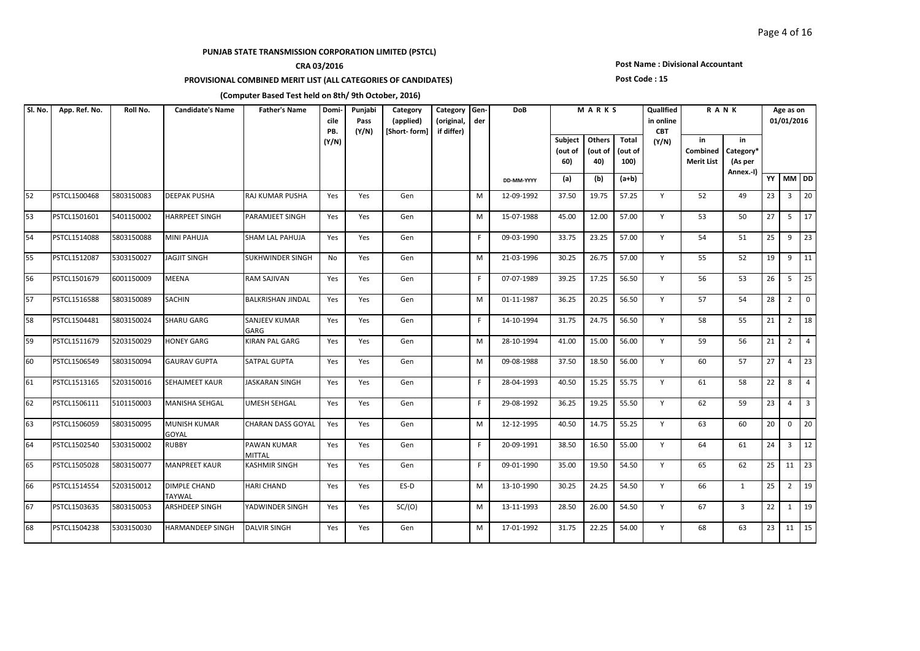## **CRA 03/2016**

### **PROVISIONAL COMBINED MERIT LIST (ALL CATEGORIES OF CANDIDATES)**

#### **Post Name : Divisional Accountant**

#### **Post Code : 15**

| Sl. No. | App. Ref. No. | Roll No.   | <b>Candidate's Name</b>              | <b>Father's Name</b>         | Domi-<br>cile<br>PB. | Punjabi<br>Pass<br>(Y/N) | Category<br>(applied)<br>[Short-form] | Category Gen-<br>(original,<br>if differ) | der | <b>DoB</b> |                           | MARKS                    |                          | Qualified<br>in online<br><b>CBT</b> |                                     | <b>RANK</b>                             |    | Age as on<br>01/01/2016 |                   |
|---------|---------------|------------|--------------------------------------|------------------------------|----------------------|--------------------------|---------------------------------------|-------------------------------------------|-----|------------|---------------------------|--------------------------|--------------------------|--------------------------------------|-------------------------------------|-----------------------------------------|----|-------------------------|-------------------|
|         |               |            |                                      |                              | (Y/N)                |                          |                                       |                                           |     |            | Subject<br>(out of<br>60) | Others<br>(out of<br>40) | Total<br>(out of<br>100) | (Y/N)                                | in<br>Combined<br><b>Merit List</b> | in<br>Category*<br>(As per<br>Annex.-I) |    |                         |                   |
|         |               |            |                                      |                              |                      |                          |                                       |                                           |     | DD-MM-YYYY | (a)                       | (b)                      | $(a+b)$                  |                                      |                                     |                                         |    | YY MM DD                |                   |
| 52      | PSTCL1500468  | 5803150083 | <b>DEEPAK PUSHA</b>                  | <b>RAJ KUMAR PUSHA</b>       | Yes                  | Yes                      | Gen                                   |                                           | M   | 12-09-1992 | 37.50                     | 19.75                    | 57.25                    | Y                                    | 52                                  | 49                                      | 23 |                         | $3 \mid 20$       |
| 53      | PSTCL1501601  | 5401150002 | <b>HARRPEET SINGH</b>                | PARAMJEET SINGH              | Yes                  | Yes                      | Gen                                   |                                           | M   | 15-07-1988 | 45.00                     | 12.00                    | 57.00                    | Y                                    | 53                                  | 50                                      | 27 | 5                       | $\overline{17}$   |
| 54      | PSTCL1514088  | 5803150088 | <b>MINI PAHUJA</b>                   | <b>SHAM LAL PAHUJA</b>       | Yes                  | Yes                      | Gen                                   |                                           | F.  | 09-03-1990 | 33.75                     | 23.25                    | 57.00                    | Y                                    | 54                                  | 51                                      | 25 | 9                       | $\vert$ 23        |
| 55      | PSTCL1512087  | 5303150027 | <b>JAGJIT SINGH</b>                  | <b>SUKHWINDER SINGH</b>      | No                   | Yes                      | Gen                                   |                                           | M   | 21-03-1996 | 30.25                     | 26.75                    | 57.00                    | Y                                    | 55                                  | 52                                      | 19 | 9                       | $\vert$ 11        |
| 56      | PSTCL1501679  | 6001150009 | <b>MEENA</b>                         | <b>RAM SAJIVAN</b>           | Yes                  | Yes                      | Gen                                   |                                           | F.  | 07-07-1989 | 39.25                     | 17.25                    | 56.50                    | Y                                    | 56                                  | 53                                      | 26 |                         | $5 \mid 25$       |
| 57      | PSTCL1516588  | 5803150089 | <b>SACHIN</b>                        | <b>BALKRISHAN JINDAL</b>     | Yes                  | Yes                      | Gen                                   |                                           | M   | 01-11-1987 | 36.25                     | 20.25                    | 56.50                    | Y                                    | 57                                  | 54                                      | 28 |                         | $2 \mid 0$        |
| 58      | PSTCL1504481  | 5803150024 | <b>SHARU GARG</b>                    | <b>SANJEEV KUMAR</b><br>GARG | Yes                  | Yes                      | Gen                                   |                                           | F.  | 14-10-1994 | 31.75                     | 24.75                    | 56.50                    | Y                                    | 58                                  | 55                                      | 21 | $2^{\circ}$             | 18                |
| 59      | PSTCL1511679  | 5203150029 | <b>HONEY GARG</b>                    | <b>KIRAN PAL GARG</b>        | Yes                  | Yes                      | Gen                                   |                                           | M   | 28-10-1994 | 41.00                     | 15.00                    | 56.00                    | Y                                    | 59                                  | 56                                      | 21 | $2^{\circ}$             | $\overline{4}$    |
| 60      | PSTCL1506549  | 5803150094 | <b>GAURAV GUPTA</b>                  | <b>SATPAL GUPTA</b>          | Yes                  | Yes                      | Gen                                   |                                           | M   | 09-08-1988 | 37.50                     | 18.50                    | 56.00                    | Y                                    | 60                                  | 57                                      | 27 | $\overline{4}$          | 23                |
| 61      | PSTCL1513165  | 5203150016 | SEHAJMEET KAUR                       | <b>JASKARAN SINGH</b>        | Yes                  | Yes                      | Gen                                   |                                           | F.  | 28-04-1993 | 40.50                     | 15.25                    | 55.75                    | Y                                    | 61                                  | 58                                      | 22 |                         | $8 \mid 4$        |
| 62      | PSTCL1506111  | 5101150003 | <b>MANISHA SEHGAL</b>                | <b>UMESH SEHGAL</b>          | Yes                  | Yes                      | Gen                                   |                                           | F.  | 29-08-1992 | 36.25                     | 19.25                    | 55.50                    | Y                                    | 62                                  | 59                                      | 23 | $\overline{4}$          | $\overline{3}$    |
| 63      | PSTCL1506059  | 5803150095 | <b>MUNISH KUMAR</b><br>GOYAL         | <b>CHARAN DASS GOYAL</b>     | Yes                  | Yes                      | Gen                                   |                                           | M   | 12-12-1995 | 40.50                     | 14.75                    | 55.25                    | Y                                    | 63                                  | 60                                      | 20 | $\mathbf{0}$            | 20                |
| 64      | PSTCL1502540  | 5303150002 | RUBBY                                | PAWAN KUMAR<br><b>MITTAL</b> | Yes                  | Yes                      | Gen                                   |                                           | F   | 20-09-1991 | 38.50                     | 16.50                    | 55.00                    | Y                                    | 64                                  | 61                                      | 24 | $\overline{3}$          | $\vert$ 12        |
| 65      | PSTCL1505028  | 5803150077 | <b>MANPREET KAUR</b>                 | <b>KASHMIR SINGH</b>         | Yes                  | Yes                      | Gen                                   |                                           | F.  | 09-01-1990 | 35.00                     | 19.50                    | 54.50                    | Y                                    | 65                                  | 62                                      | 25 |                         |                   |
| 66      | PSTCL1514554  | 5203150012 | <b>DIMPLE CHAND</b><br><b>TAYWAL</b> | <b>HARI CHAND</b>            | Yes                  | Yes                      | ES-D                                  |                                           | M   | 13-10-1990 | 30.25                     | 24.25                    | 54.50                    | Y                                    | 66                                  | 1                                       | 25 |                         | $2 \mid 19$       |
| 67      | PSTCL1503635  | 5803150053 | <b>ARSHDEEP SINGH</b>                | YADWINDER SINGH              | Yes                  | Yes                      | SC/(O)                                |                                           | M   | 13-11-1993 | 28.50                     | 26.00                    | 54.50                    | Y                                    | 67                                  | $\overline{3}$                          | 22 |                         | $1 \overline{19}$ |
| 68      | PSTCL1504238  | 5303150030 | HARMANDEEP SINGH                     | <b>DALVIR SINGH</b>          | Yes                  | Yes                      | Gen                                   |                                           | M   | 17-01-1992 | 31.75                     | 22.25                    | 54.00                    | Y                                    | 68                                  | 63                                      | 23 |                         | $11 \mid 15$      |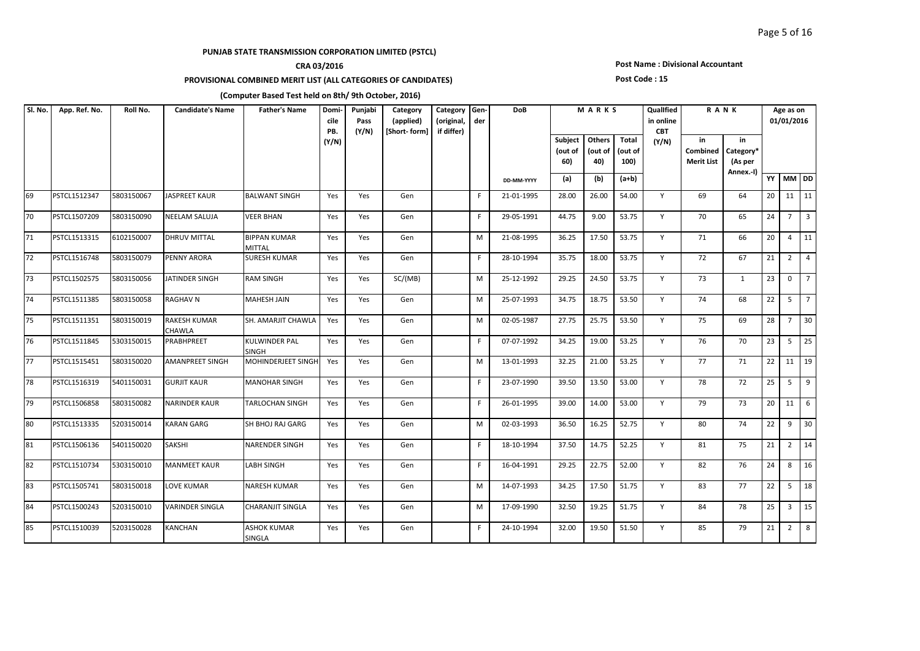## **CRA 03/2016**

### **PROVISIONAL COMBINED MERIT LIST (ALL CATEGORIES OF CANDIDATES)**

#### **Post Name : Divisional Accountant**

#### **Post Code : 15**

| Sl. No. | App. Ref. No. | Roll No.   | <b>Candidate's Name</b>              | <b>Father's Name</b>                 | Domi-<br>cile<br>PB. | Punjabi<br>Pass<br>(Y/N) | Category<br>(applied)<br>[Short-form] | Category<br>(original,<br>if differ) | Gen-<br>der | DoB        |                           | MARKS                    |                                 | Qualified<br>in online<br><b>CBT</b> |                                     | <b>RANK</b>                             |    | Age as on<br>01/01/2016 |                 |
|---------|---------------|------------|--------------------------------------|--------------------------------------|----------------------|--------------------------|---------------------------------------|--------------------------------------|-------------|------------|---------------------------|--------------------------|---------------------------------|--------------------------------------|-------------------------------------|-----------------------------------------|----|-------------------------|-----------------|
|         |               |            |                                      |                                      | (Y/N)                |                          |                                       |                                      |             |            | Subject<br>(out of<br>60) | Others<br>(out of<br>40) | <b>Total</b><br>(out of<br>100) | (Y/N)                                | in<br>Combined<br><b>Merit List</b> | in<br>Category*<br>(As per<br>Annex.-I) |    |                         |                 |
|         |               |            |                                      |                                      |                      |                          |                                       |                                      |             | DD-MM-YYYY | (a)                       | (b)                      | $(a+b)$                         |                                      |                                     |                                         |    | YY MM DD                |                 |
| 69      | PSTCL1512347  | 5803150067 | <b>JASPREET KAUR</b>                 | <b>BALWANT SINGH</b>                 | Yes                  | Yes                      | Gen                                   |                                      | F.          | 21-01-1995 | 28.00                     | 26.00                    | 54.00                           | Y                                    | 69                                  | 64                                      | 20 |                         | $11 \quad 11$   |
| 70      | PSTCL1507209  | 5803150090 | <b>NEELAM SALUJA</b>                 | VEER BHAN                            | Yes                  | Yes                      | Gen                                   |                                      | F.          | 29-05-1991 | 44.75                     | 9.00                     | 53.75                           | Y                                    | 70                                  | 65                                      | 24 | $7^{\circ}$             | $\vert$ 3       |
| 71      | PSTCL1513315  | 6102150007 | <b>DHRUV MITTAL</b>                  | BIPPAN KUMAR<br><b>MITTAL</b>        | Yes                  | Yes                      | Gen                                   |                                      | M           | 21-08-1995 | 36.25                     | 17.50                    | 53.75                           | Y                                    | 71                                  | 66                                      | 20 | $\overline{4}$          | $\vert$ 11      |
| 72      | PSTCL1516748  | 5803150079 | PENNY ARORA                          | <b>SURESH KUMAR</b>                  | Yes                  | Yes                      | Gen                                   |                                      | F.          | 28-10-1994 | 35.75                     | 18.00                    | 53.75                           | Y                                    | 72                                  | 67                                      | 21 | $\overline{2}$          | $\overline{4}$  |
| 73      | PSTCL1502575  | 5803150056 | JATINDER SINGH                       | <b>RAM SINGH</b>                     | Yes                  | Yes                      | SC/(MB)                               |                                      | M           | 25-12-1992 | 29.25                     | 24.50                    | 53.75                           | Y                                    | 73                                  | $\mathbf{1}$                            | 23 | $\mathbf{0}$            | $7^{\circ}$     |
| 74      | PSTCL1511385  | 5803150058 | <b>RAGHAV N</b>                      | MAHESH JAIN                          | Yes                  | Yes                      | Gen                                   |                                      | M           | 25-07-1993 | 34.75                     | 18.75                    | 53.50                           | Y                                    | 74                                  | 68                                      | 22 | 5                       | $\overline{z}$  |
| 75      | PSTCL1511351  | 5803150019 | <b>RAKESH KUMAR</b><br><b>CHAWLA</b> | SH. AMARJIT CHAWLA                   | Yes                  | Yes                      | Gen                                   |                                      | M           | 02-05-1987 | 27.75                     | 25.75                    | 53.50                           | Y                                    | 75                                  | 69                                      | 28 | $\overline{7}$          | 30              |
| 76      | PSTCL1511845  | 5303150015 | PRABHPREET                           | <b>KULWINDER PAL</b><br><b>SINGH</b> | Yes                  | Yes                      | Gen                                   |                                      | F.          | 07-07-1992 | 34.25                     | 19.00                    | 53.25                           | Y                                    | 76                                  | 70                                      | 23 | 5                       | 25              |
| 77      | PSTCL1515451  | 5803150020 | <b>AMANPREET SINGH</b>               | MOHINDERJEET SINGH                   | Yes                  | Yes                      | Gen                                   |                                      | M           | 13-01-1993 | 32.25                     | 21.00                    | 53.25                           | Y                                    | 77                                  | 71                                      | 22 |                         | $11 \mid 19$    |
| 78      | PSTCL1516319  | 5401150031 | <b>GURJIT KAUR</b>                   | <b>MANOHAR SINGH</b>                 | Yes                  | Yes                      | Gen                                   |                                      | F.          | 23-07-1990 | 39.50                     | 13.50                    | 53.00                           | Y                                    | 78                                  | 72                                      | 25 | 5                       | $\vert$ 9       |
| 79      | PSTCL1506858  | 5803150082 | <b>NARINDER KAUR</b>                 | TARLOCHAN SINGH                      | Yes                  | Yes                      | Gen                                   |                                      | F.          | 26-01-1995 | 39.00                     | 14.00                    | 53.00                           | Y                                    | 79                                  | 73                                      | 20 | 11 <sup>1</sup>         | 6               |
| 80      | PSTCL1513335  | 5203150014 | <b>KARAN GARG</b>                    | SH BHOJ RAJ GARG                     | Yes                  | Yes                      | Gen                                   |                                      | м           | 02-03-1993 | 36.50                     | 16.25                    | 52.75                           | Y                                    | 80                                  | 74                                      | 22 | 9                       | 30              |
| 81      | PSTCL1506136  | 5401150020 | <b>SAKSHI</b>                        | NARENDER SINGH                       | Yes                  | Yes                      | Gen                                   |                                      | F.          | 18-10-1994 | 37.50                     | 14.75                    | 52.25                           | Y                                    | 81                                  | 75                                      | 21 | $\overline{2}$          | $\overline{14}$ |
| 82      | PSTCL1510734  | 5303150010 | <b>MANMEET KAUR</b>                  | LABH SINGH                           | Yes                  | Yes                      | Gen                                   |                                      | F.          | 16-04-1991 | 29.25                     | 22.75                    | 52.00                           | Y                                    | 82                                  | 76                                      | 24 | 8                       | 16              |
| 83      | PSTCL1505741  | 5803150018 | <b>LOVE KUMAR</b>                    | NARESH KUMAR                         | Yes                  | Yes                      | Gen                                   |                                      | M           | 14-07-1993 | 34.25                     | 17.50                    | 51.75                           | Y                                    | 83                                  | 77                                      | 22 | 5                       | 18              |
| 84      | PSTCL1500243  | 5203150010 | <b>VARINDER SINGLA</b>               | CHARANJIT SINGLA                     | Yes                  | Yes                      | Gen                                   |                                      | м           | 17-09-1990 | 32.50                     | 19.25                    | 51.75                           | Y                                    | 84                                  | 78                                      | 25 | $\overline{3}$          | 15              |
| 85      | PSTCL1510039  | 5203150028 | <b>KANCHAN</b>                       | ASHOK KUMAR<br>SINGLA                | Yes                  | Yes                      | Gen                                   |                                      | F.          | 24-10-1994 | 32.00                     | 19.50                    | 51.50                           | Y                                    | 85                                  | 79                                      | 21 | $\overline{2}$          | 8               |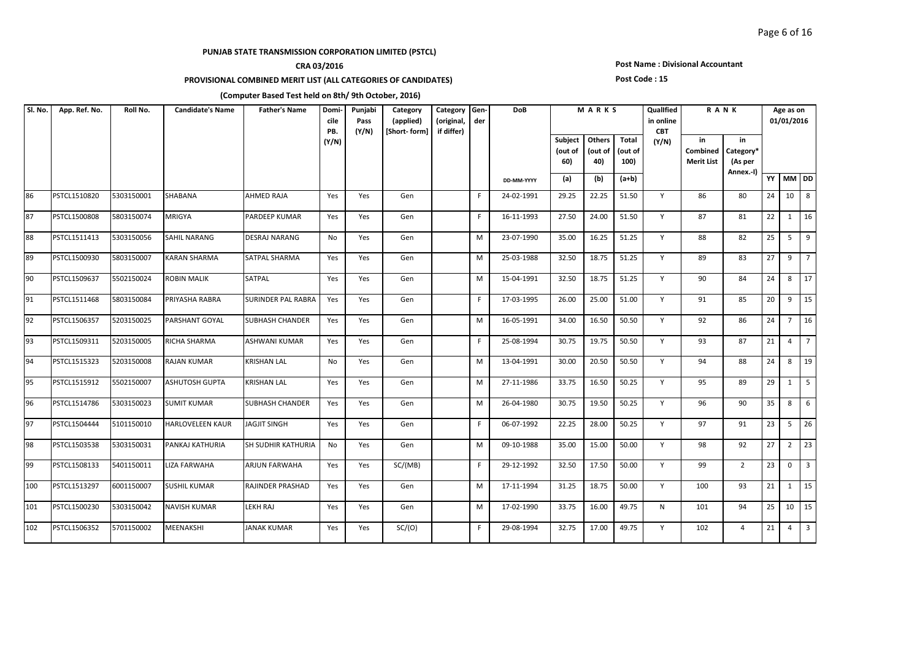## **CRA 03/2016**

### **PROVISIONAL COMBINED MERIT LIST (ALL CATEGORIES OF CANDIDATES)**

#### **Post Name : Divisional Accountant**

#### **Post Code : 15**

| SI. No. | App. Ref. No. | Roll No.   | <b>Candidate's Name</b> | <b>Father's Name</b>      | Domi-<br>cile<br>PB. | Punjabi<br>Pass<br>(Y/N) | Category<br>(applied)<br>[Short-form] | Category Gen-<br>(original,<br>if differ) | der | <b>DoB</b> |                                  | MARKS                    |                          | Qualified<br>in online<br><b>CBT</b> |                                     | <b>RANK</b>                             |    | Age as on<br>01/01/2016 |                 |
|---------|---------------|------------|-------------------------|---------------------------|----------------------|--------------------------|---------------------------------------|-------------------------------------------|-----|------------|----------------------------------|--------------------------|--------------------------|--------------------------------------|-------------------------------------|-----------------------------------------|----|-------------------------|-----------------|
|         |               |            |                         |                           | (Y/N)                |                          |                                       |                                           |     |            | <b>Subject</b><br>(out of<br>60) | Others<br>(out of<br>40) | Total<br>(out of<br>100) | (Y/N)                                | in<br>Combined<br><b>Merit List</b> | in<br>Category*<br>(As per<br>Annex.-I) |    |                         |                 |
|         |               |            |                         |                           |                      |                          |                                       |                                           |     | DD-MM-YYYY | (a)                              | (b)                      | $(a+b)$                  |                                      |                                     |                                         |    | YY MM DD                |                 |
| 86      | PSTCL1510820  | 5303150001 | <b>SHABANA</b>          | <b>AHMED RAJA</b>         | Yes                  | Yes                      | Gen                                   |                                           | F.  | 24-02-1991 | 29.25                            | 22.25                    | 51.50                    | Y                                    | 86                                  | 80                                      | 24 | 10                      | 8               |
| 87      | PSTCL1500808  | 5803150074 | <b>MRIGYA</b>           | PARDEEP KUMAR             | Yes                  | Yes                      | Gen                                   |                                           | F.  | 16-11-1993 | 27.50                            | 24.00                    | 51.50                    | Y                                    | 87                                  | 81                                      | 22 | 1                       | 16              |
| 88      | PSTCL1511413  | 5303150056 | <b>SAHIL NARANG</b>     | DESRAJ NARANG             | No                   | Yes                      | Gen                                   |                                           | M   | 23-07-1990 | 35.00                            | 16.25                    | 51.25                    | Y                                    | 88                                  | 82                                      | 25 | 5                       | 9               |
| 89      | PSTCL1500930  | 5803150007 | <b>KARAN SHARMA</b>     | SATPAL SHARMA             | Yes                  | Yes                      | Gen                                   |                                           | М   | 25-03-1988 | 32.50                            | 18.75                    | 51.25                    | Y                                    | 89                                  | 83                                      | 27 | 9                       | $\overline{7}$  |
| 90      | PSTCL1509637  | 5502150024 | <b>ROBIN MALIK</b>      | SATPAL                    | Yes                  | Yes                      | Gen                                   |                                           | M   | 15-04-1991 | 32.50                            | 18.75                    | 51.25                    | Y                                    | 90                                  | 84                                      | 24 | 8                       | $\overline{17}$ |
| 91      | PSTCL1511468  | 5803150084 | PRIYASHA RABRA          | <b>SURINDER PAL RABRA</b> | Yes                  | Yes                      | Gen                                   |                                           | F.  | 17-03-1995 | 26.00                            | 25.00                    | 51.00                    | Y                                    | 91                                  | 85                                      | 20 | 9                       | $\vert$ 15      |
| 92      | PSTCL1506357  | 5203150025 | PARSHANT GOYAL          | <b>SUBHASH CHANDER</b>    | Yes                  | Yes                      | Gen                                   |                                           | M   | 16-05-1991 | 34.00                            | 16.50                    | 50.50                    | Y                                    | 92                                  | 86                                      | 24 | $\overline{7}$          | 16              |
| 93      | PSTCL1509311  | 5203150005 | RICHA SHARMA            | ASHWANI KUMAR             | Yes                  | Yes                      | Gen                                   |                                           | F.  | 25-08-1994 | 30.75                            | 19.75                    | 50.50                    | Y                                    | 93                                  | 87                                      | 21 | $\overline{4}$          | $\overline{7}$  |
| 94      | PSTCL1515323  | 5203150008 | <b>RAJAN KUMAR</b>      | <b>KRISHAN LAL</b>        | <b>No</b>            | Yes                      | Gen                                   |                                           | M   | 13-04-1991 | 30.00                            | 20.50                    | 50.50                    | Y                                    | 94                                  | 88                                      | 24 | 8                       | $\sqrt{19}$     |
| 95      | PSTCL1515912  | 5502150007 | <b>ASHUTOSH GUPTA</b>   | <b>KRISHAN LAL</b>        | Yes                  | Yes                      | Gen                                   |                                           | M   | 27-11-1986 | 33.75                            | 16.50                    | 50.25                    | Y                                    | 95                                  | 89                                      | 29 | $\mathbf{1}$            | $\vert$ 5       |
| 96      | PSTCL1514786  | 5303150023 | <b>SUMIT KUMAR</b>      | <b>SUBHASH CHANDER</b>    | Yes                  | Yes                      | Gen                                   |                                           | М   | 26-04-1980 | 30.75                            | 19.50                    | 50.25                    | Y                                    | 96                                  | 90                                      | 35 | 8                       | 6               |
| 97      | PSTCL1504444  | 5101150010 | <b>HARLOVELEEN KAUR</b> | <b>JAGJIT SINGH</b>       | Yes                  | Yes                      | Gen                                   |                                           | F.  | 06-07-1992 | 22.25                            | 28.00                    | 50.25                    | Y                                    | 97                                  | 91                                      | 23 | 5                       | $\overline{26}$ |
| 98      | PSTCL1503538  | 5303150031 | PANKAJ KATHURIA         | <b>SH SUDHIR KATHURIA</b> | No.                  | Yes                      | Gen                                   |                                           | M   | 09-10-1988 | 35.00                            | 15.00                    | 50.00                    | Y                                    | 98                                  | 92                                      | 27 | $\overline{2}$          | 23              |
| 99      | PSTCL1508133  | 5401150011 | LIZA FARWAHA            | ARJUN FARWAHA             | Yes                  | Yes                      | SC/(MB)                               |                                           | F.  | 29-12-1992 | 32.50                            | 17.50                    | 50.00                    | Y                                    | 99                                  | $\overline{2}$                          | 23 | $\mathbf{0}$            | 3 <sup>1</sup>  |
| 100     | PSTCL1513297  | 6001150007 | <b>SUSHIL KUMAR</b>     | RAJINDER PRASHAD          | Yes                  | Yes                      | Gen                                   |                                           | M   | 17-11-1994 | 31.25                            | 18.75                    | 50.00                    | Y                                    | 100                                 | 93                                      | 21 | 1                       | 15              |
| 101     | PSTCL1500230  | 5303150042 | <b>NAVISH KUMAR</b>     | <b>LEKH RAJ</b>           | Yes                  | Yes                      | Gen                                   |                                           | M   | 17-02-1990 | 33.75                            | 16.00                    | 49.75                    | $\mathsf{N}$                         | 101                                 | 94                                      | 25 |                         | $10 \mid 15$    |
| 102     | PSTCL1506352  | 5701150002 | MEENAKSHI               | JANAK KUMAR               | Yes                  | Yes                      | SC/(O)                                |                                           | F   | 29-08-1994 | 32.75                            | 17.00                    | 49.75                    | Y                                    | 102                                 | 4                                       | 21 | $\overline{4}$          | $\vert$ 3       |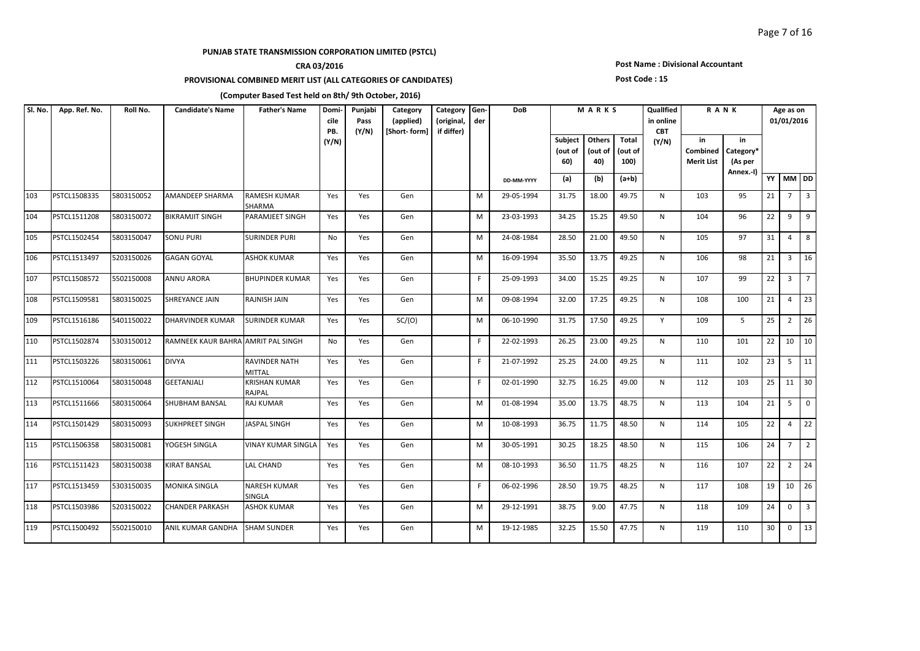## **CRA 03/2016**

### **PROVISIONAL COMBINED MERIT LIST (ALL CATEGORIES OF CANDIDATES)**

### **Post Name : Divisional Accountant**

#### **Post Code : 15**

| SI. No. | App. Ref. No. | Roll No.   | <b>Candidate's Name</b>            | <b>Father's Name</b>           | Domi-<br>cile<br>PB. | Punjabi<br>Pass<br>(Y/N) | Category<br>(applied)<br>[Short-form] | Category<br>(original,<br>if differ) | Gen-<br>der | <b>DoB</b> |                           | MARKS                    |                          | Qualified<br>in online<br><b>CBT</b> |                                            | <b>RANK</b>                             |    | Age as on<br>01/01/2016 |                |
|---------|---------------|------------|------------------------------------|--------------------------------|----------------------|--------------------------|---------------------------------------|--------------------------------------|-------------|------------|---------------------------|--------------------------|--------------------------|--------------------------------------|--------------------------------------------|-----------------------------------------|----|-------------------------|----------------|
|         |               |            |                                    |                                | (Y/N)                |                          |                                       |                                      |             |            | Subject<br>(out of<br>60) | Others<br>(out of<br>40) | Total<br>(out of<br>100) | (Y/N)                                | in<br><b>Combined</b><br><b>Merit List</b> | in<br>Category*<br>(As per<br>Annex.-I) |    |                         |                |
|         |               |            |                                    |                                |                      |                          |                                       |                                      |             | DD-MM-YYYY | (a)                       | (b)                      | $(a+b)$                  |                                      |                                            |                                         |    | YY MM DD                |                |
| 103     | PSTCL1508335  | 5803150052 | <b>AMANDEEP SHARMA</b>             | RAMESH KUMAR<br>SHARMA         | Yes                  | Yes                      | Gen                                   |                                      | M           | 29-05-1994 | 31.75                     | 18.00                    | 49.75                    | N                                    | 103                                        | 95                                      | 21 | $7^{\circ}$             | $\overline{3}$ |
| 104     | PSTCL1511208  | 5803150072 | <b>BIKRAMJIT SINGH</b>             | PARAMJEET SINGH                | Yes                  | Yes                      | Gen                                   |                                      | M           | 23-03-1993 | 34.25                     | 15.25                    | 49.50                    | N                                    | 104                                        | 96                                      | 22 | 9                       | $\vert$ 9      |
| 105     | PSTCL1502454  | 5803150047 | <b>SONU PURI</b>                   | <b>SURINDER PURI</b>           | No                   | Yes                      | Gen                                   |                                      | M           | 24-08-1984 | 28.50                     | 21.00                    | 49.50                    | N                                    | 105                                        | 97                                      | 31 | $\overline{4}$          | 8              |
| 106     | PSTCL1513497  | 5203150026 | <b>GAGAN GOYAL</b>                 | <b>ASHOK KUMAR</b>             | Yes                  | Yes                      | Gen                                   |                                      | M           | 16-09-1994 | 35.50                     | 13.75                    | 49.25                    | N                                    | 106                                        | 98                                      | 21 | $\overline{3}$          | 16             |
| 107     | PSTCL1508572  | 5502150008 | <b>ANNU ARORA</b>                  | <b>BHUPINDER KUMAR</b>         | Yes                  | Yes                      | Gen                                   |                                      | F.          | 25-09-1993 | 34.00                     | 15.25                    | 49.25                    | N                                    | 107                                        | 99                                      | 22 |                         | $3 \mid 7$     |
| 108     | PSTCL1509581  | 5803150025 | SHREYANCE JAIN                     | RAJNISH JAIN                   | Yes                  | Yes                      | Gen                                   |                                      | M           | 09-08-1994 | 32.00                     | 17.25                    | 49.25                    | N                                    | 108                                        | 100                                     | 21 | $\overline{4}$          | $ 23\rangle$   |
| 109     | PSTCL1516186  | 5401150022 | <b>DHARVINDER KUMAR</b>            | <b>SURINDER KUMAR</b>          | Yes                  | Yes                      | SC/(O)                                |                                      | M           | 06-10-1990 | 31.75                     | 17.50                    | 49.25                    | Y                                    | 109                                        | 5                                       | 25 | $2^{\circ}$             | $ 26\rangle$   |
| 110     | PSTCL1502874  | 5303150012 | RAMNEEK KAUR BAHRA AMRIT PAL SINGH |                                | No                   | Yes                      | Gen                                   |                                      | F.          | 22-02-1993 | 26.25                     | 23.00                    | 49.25                    | N                                    | 110                                        | 101                                     | 22 |                         | $10 \quad 10$  |
| 111     | PSTCL1503226  | 5803150061 | <b>DIVYA</b>                       | RAVINDER NATH<br><b>MITTAL</b> | Yes                  | Yes                      | Gen                                   |                                      | F.          | 21-07-1992 | 25.25                     | 24.00                    | 49.25                    | N                                    | 111                                        | 102                                     | 23 |                         | $5 \mid 11$    |
| 112     | PSTCL1510064  | 5803150048 | <b>GEETANJALI</b>                  | <b>KRISHAN KUMAR</b><br>RAJPAL | Yes                  | Yes                      | Gen                                   |                                      | F.          | 02-01-1990 | 32.75                     | 16.25                    | 49.00                    | N                                    | 112                                        | 103                                     | 25 |                         | $11 \mid 30$   |
| 113     | PSTCL1511666  | 5803150064 | <b>SHUBHAM BANSAL</b>              | RAJ KUMAR                      | Yes                  | Yes                      | Gen                                   |                                      | M           | 01-08-1994 | 35.00                     | 13.75                    | 48.75                    | N                                    | 113                                        | 104                                     | 21 | 5 <sup>5</sup>          | $\overline{0}$ |
| 114     | PSTCL1501429  | 5803150093 | <b>SUKHPREET SINGH</b>             | <b>JASPAL SINGH</b>            | Yes                  | Yes                      | Gen                                   |                                      | M           | 10-08-1993 | 36.75                     | 11.75                    | 48.50                    | N                                    | 114                                        | 105                                     | 22 | $\overline{4}$          | 22             |
| 115     | PSTCL1506358  | 5803150081 | YOGESH SINGLA                      | VINAY KUMAR SINGLA             | Yes                  | Yes                      | Gen                                   |                                      | M           | 30-05-1991 | 30.25                     | 18.25                    | 48.50                    | N                                    | 115                                        | 106                                     | 24 | $7^{\circ}$             | $\overline{2}$ |
| 116     | PSTCL1511423  | 5803150038 | <b>KIRAT BANSAL</b>                | <b>LAL CHAND</b>               | Yes                  | Yes                      | Gen                                   |                                      | M           | 08-10-1993 | 36.50                     | 11.75                    | 48.25                    | N                                    | 116                                        | 107                                     | 22 |                         | $2 \mid 24$    |
| 117     | PSTCL1513459  | 5303150035 | <b>MONIKA SINGLA</b>               | <b>NARESH KUMAR</b><br>SINGLA  | Yes                  | Yes                      | Gen                                   |                                      | F.          | 06-02-1996 | 28.50                     | 19.75                    | 48.25                    | N                                    | 117                                        | 108                                     | 19 |                         | $10 \mid 26$   |
| 118     | PSTCL1503986  | 5203150022 | <b>CHANDER PARKASH</b>             | <b>ASHOK KUMAR</b>             | Yes                  | Yes                      | Gen                                   |                                      | M           | 29-12-1991 | 38.75                     | 9.00                     | 47.75                    | N                                    | 118                                        | 109                                     | 24 | $\mathbf{0}$            | $\overline{3}$ |
| 119     | PSTCL1500492  | 5502150010 | ANIL KUMAR GANDHA                  | <b>SHAM SUNDER</b>             | Yes                  | Yes                      | Gen                                   |                                      | M           | 19-12-1985 | 32.25                     | 15.50                    | 47.75                    | N                                    | 119                                        | 110                                     | 30 | $\mathbf 0$             | 13             |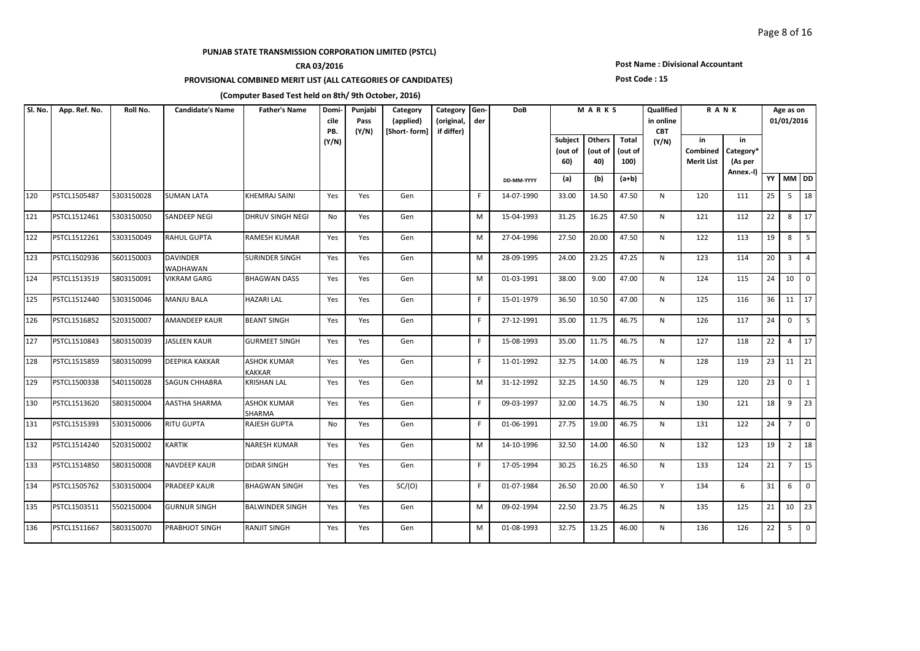## **CRA 03/2016**

### **PROVISIONAL COMBINED MERIT LIST (ALL CATEGORIES OF CANDIDATES)**

#### **Post Name : Divisional Accountant**

#### **Post Code : 15**

| SI. No. | App. Ref. No. | Roll No.   | <b>Candidate's Name</b>     | <b>Father's Name</b>                | Domi-<br>cile<br>PB. | Punjabi<br>Pass<br>(Y/N) | Category<br>(applied)<br>[Short-form] | Category<br>(original,<br>if differ) | Gen-<br>der | <b>DoB</b> |                           | MARKS                    |                          | Qualified<br>in online<br><b>CBT</b> | RANK                                |                                         |    | Age as on<br>01/01/2016 |                |
|---------|---------------|------------|-----------------------------|-------------------------------------|----------------------|--------------------------|---------------------------------------|--------------------------------------|-------------|------------|---------------------------|--------------------------|--------------------------|--------------------------------------|-------------------------------------|-----------------------------------------|----|-------------------------|----------------|
|         |               |            |                             |                                     | (Y/N)                |                          |                                       |                                      |             |            | Subject<br>(out of<br>60) | Others<br>(out of<br>40) | Total<br>(out of<br>100) | (Y/N)                                | in<br>Combined<br><b>Merit List</b> | in<br>Category*<br>(As per<br>Annex.-I) |    |                         |                |
|         |               |            |                             |                                     |                      |                          |                                       |                                      |             | DD-MM-YYYY | (a)                       | (b)                      | $(a+b)$                  |                                      |                                     |                                         |    | YY MM DD                |                |
| 120     | PSTCL1505487  | 5303150028 | <b>SUMAN LATA</b>           | KHEMRAJ SAINI                       | Yes                  | Yes                      | Gen                                   |                                      | F.          | 14-07-1990 | 33.00                     | 14.50                    | 47.50                    | N                                    | 120                                 | 111                                     | 25 |                         | $5 \mid 18$    |
| 121     | PSTCL1512461  | 5303150050 | <b>SANDEEP NEGI</b>         | DHRUV SINGH NEGI                    | No                   | Yes                      | Gen                                   |                                      | м           | 15-04-1993 | 31.25                     | 16.25                    | 47.50                    | N                                    | 121                                 | 112                                     | 22 | 8                       | 17             |
| 122     | PSTCL1512261  | 5303150049 | <b>RAHUL GUPTA</b>          | RAMESH KUMAR                        | Yes                  | Yes                      | Gen                                   |                                      | M           | 27-04-1996 | 27.50                     | 20.00                    | 47.50                    | N                                    | 122                                 | 113                                     | 19 | 8                       | 5              |
| 123     | PSTCL1502936  | 5601150003 | <b>DAVINDER</b><br>WADHAWAN | SURINDER SINGH                      | Yes                  | Yes                      | Gen                                   |                                      | M           | 28-09-1995 | 24.00                     | 23.25                    | 47.25                    | N                                    | 123                                 | 114                                     | 20 | $\overline{3}$          | $\overline{4}$ |
| 124     | PSTCL1513519  | 5803150091 | <b>VIKRAM GARG</b>          | <b>BHAGWAN DASS</b>                 | Yes                  | Yes                      | Gen                                   |                                      | M           | 01-03-1991 | 38.00                     | 9.00                     | 47.00                    | N                                    | 124                                 | 115                                     | 24 | 10                      |                |
| 125     | PSTCL1512440  | 5303150046 | <b>MANJU BALA</b>           | <b>HAZARI LAL</b>                   | Yes                  | Yes                      | Gen                                   |                                      | F           | 15-01-1979 | 36.50                     | 10.50                    | 47.00                    | N                                    | 125                                 | 116                                     | 36 |                         | $11 \mid 17$   |
| 126     | PSTCL1516852  | 5203150007 | <b>AMANDEEP KAUR</b>        | <b>BEANT SINGH</b>                  | Yes                  | Yes                      | Gen                                   |                                      | F.          | 27-12-1991 | 35.00                     | 11.75                    | 46.75                    | N                                    | 126                                 | 117                                     | 24 | $\mathbf 0$             | 5              |
| 127     | PSTCL1510843  | 5803150039 | <b>JASLEEN KAUR</b>         | <b>GURMEET SINGH</b>                | Yes                  | Yes                      | Gen                                   |                                      | F.          | 15-08-1993 | 35.00                     | 11.75                    | 46.75                    | N                                    | 127                                 | 118                                     | 22 | $\overline{4}$          | 17             |
| 128     | PSTCL1515859  | 5803150099 | <b>DEEPIKA KAKKAR</b>       | <b>ASHOK KUMAR</b><br><b>KAKKAR</b> | Yes                  | Yes                      | Gen                                   |                                      | F.          | 11-01-1992 | 32.75                     | 14.00                    | 46.75                    | N                                    | 128                                 | 119                                     | 23 |                         | $11 \mid 21$   |
| 129     | PSTCL1500338  | 5401150028 | <b>SAGUN CHHABRA</b>        | <b>KRISHAN LAL</b>                  | Yes                  | Yes                      | Gen                                   |                                      | M           | 31-12-1992 | 32.25                     | 14.50                    | 46.75                    | N                                    | 129                                 | 120                                     | 23 | $\mathbf{0}$            | $\mathbf{1}$   |
| 130     | PSTCL1513620  | 5803150004 | <b>AASTHA SHARMA</b>        | <b>ASHOK KUMAR</b><br><b>SHARMA</b> | Yes                  | Yes                      | Gen                                   |                                      | F.          | 09-03-1997 | 32.00                     | 14.75                    | 46.75                    | N                                    | 130                                 | 121                                     | 18 | 9                       | 23             |
| 131     | PSTCL1515393  | 5303150006 | <b>RITU GUPTA</b>           | <b>RAJESH GUPTA</b>                 | No                   | Yes                      | Gen                                   |                                      | F.          | 01-06-1991 | 27.75                     | 19.00                    | 46.75                    | N                                    | 131                                 | 122                                     | 24 | $7^{\circ}$             | $\overline{0}$ |
| 132     | PSTCL1514240  | 5203150002 | <b>KARTIK</b>               | <b>NARESH KUMAR</b>                 | Yes                  | Yes                      | Gen                                   |                                      | M           | 14-10-1996 | 32.50                     | 14.00                    | 46.50                    | N                                    | 132                                 | 123                                     | 19 |                         | $2 \mid 18$    |
| 133     | PSTCL1514850  | 5803150008 | <b>NAVDEEP KAUR</b>         | <b>DIDAR SINGH</b>                  | Yes                  | Yes                      | Gen                                   |                                      | F.          | 17-05-1994 | 30.25                     | 16.25                    | 46.50                    | N                                    | 133                                 | 124                                     | 21 |                         | $7 \mid 15$    |
| 134     | PSTCL1505762  | 5303150004 | <b>PRADEEP KAUR</b>         | <b>BHAGWAN SINGH</b>                | Yes                  | Yes                      | SC/(O)                                |                                      | F.          | 01-07-1984 | 26.50                     | 20.00                    | 46.50                    | Y                                    | 134                                 | 6                                       | 31 | 6                       | $\overline{0}$ |
| 135     | PSTCL1503511  | 5502150004 | <b>GURNUR SINGH</b>         | <b>BALWINDER SINGH</b>              | Yes                  | Yes                      | Gen                                   |                                      | M           | 09-02-1994 | 22.50                     | 23.75                    | 46.25                    | N                                    | 135                                 | 125                                     | 21 | 10                      | 23             |
| 136     | PSTCL1511667  | 5803150070 | <b>PRABHJOT SINGH</b>       | RANJIT SINGH                        | Yes                  | Yes                      | Gen                                   |                                      | M           | 01-08-1993 | 32.75                     | 13.25                    | 46.00                    | N                                    | 136                                 | 126                                     | 22 | 5                       | $\overline{0}$ |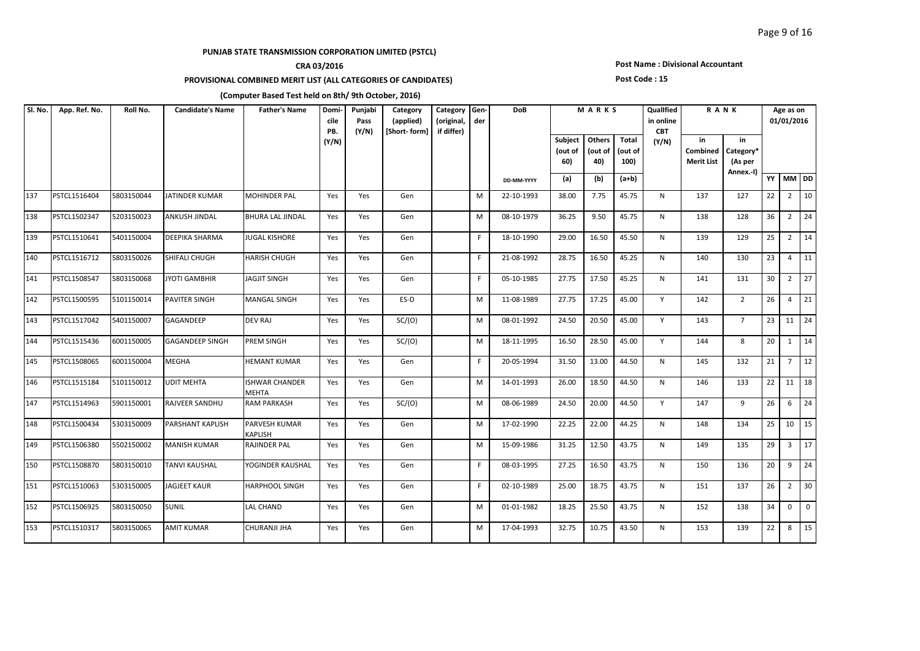## **CRA 03/2016**

### **PROVISIONAL COMBINED MERIT LIST (ALL CATEGORIES OF CANDIDATES)**

### **Post Name : Divisional Accountant**

#### **Post Code : 15**

| SI. No. | App. Ref. No. | Roll No.   | <b>Candidate's Name</b> | <b>Father's Name</b>                  | Domi-<br>cile<br>PB. | Punjabi<br>Pass<br>(Y/N) | Category<br>(applied)<br>[Short-form] | Category Gen-<br>(original,<br>if differ) | der | <b>DoB</b> |                           | MARKS                    |                          | Qualified<br>in online<br><b>CBT</b> |                                     | RANK                                    |                 | Age as on<br>01/01/2016 |             |
|---------|---------------|------------|-------------------------|---------------------------------------|----------------------|--------------------------|---------------------------------------|-------------------------------------------|-----|------------|---------------------------|--------------------------|--------------------------|--------------------------------------|-------------------------------------|-----------------------------------------|-----------------|-------------------------|-------------|
|         |               |            |                         |                                       | (Y/N)                |                          |                                       |                                           |     |            | Subject<br>(out of<br>60) | Others<br>(out of<br>40) | Total<br>(out of<br>100) | (Y/N)                                | in<br>Combined<br><b>Merit List</b> | in<br>Category*<br>(As per<br>Annex.-I) |                 |                         |             |
|         |               |            |                         |                                       |                      |                          |                                       |                                           |     | DD-MM-YYYY | (a)                       | (b)                      | $(a+b)$                  |                                      |                                     |                                         | YY              | MM DD                   |             |
| 137     | PSTCL1516404  | 5803150044 | <b>JATINDER KUMAR</b>   | <b>MOHINDER PAL</b>                   | Yes                  | Yes                      | Gen                                   |                                           | M   | 22-10-1993 | 38.00                     | 7.75                     | 45.75                    | N                                    | 137                                 | 127                                     | 22              | $\overline{2}$          | 10          |
| 138     | PSTCL1502347  | 5203150023 | <b>ANKUSH JINDAL</b>    | BHURA LAL JINDAL                      | Yes                  | Yes                      | Gen                                   |                                           | M   | 08-10-1979 | 36.25                     | 9.50                     | 45.75                    | N                                    | 138                                 | 128                                     | 36              | $\overline{2}$          | 24          |
| 139     | PSTCL1510641  | 5401150004 | <b>DEEPIKA SHARMA</b>   | JUGAL KISHORE                         | Yes                  | Yes                      | Gen                                   |                                           | F.  | 18-10-1990 | 29.00                     | 16.50                    | 45.50                    | N                                    | 139                                 | 129                                     | 25              | $\overline{2}$          | 14          |
| 140     | PSTCL1516712  | 5803150026 | SHIFALI CHUGH           | HARISH CHUGH                          | Yes                  | Yes                      | Gen                                   |                                           | F.  | 21-08-1992 | 28.75                     | 16.50                    | 45.25                    | N                                    | 140                                 | 130                                     | 23              | $\overline{4}$          | 11          |
| 141     | PSTCL1508547  | 5803150068 | <b>JYOTI GAMBHIR</b>    | <b>JAGJIT SINGH</b>                   | Yes                  | Yes                      | Gen                                   |                                           | F.  | 05-10-1985 | 27.75                     | 17.50                    | 45.25                    | N                                    | 141                                 | 131                                     | 30 <sup>°</sup> | $\overline{2}$          | 27          |
| 142     | PSTCL1500595  | 5101150014 | <b>PAVITER SINGH</b>    | MANGAL SINGH                          | Yes                  | Yes                      | ES-D                                  |                                           | M   | 11-08-1989 | 27.75                     | 17.25                    | 45.00                    | Y                                    | 142                                 | $\overline{2}$                          | 26              | $\overline{4}$          | 21          |
| 143     | PSTCL1517042  | 5401150007 | GAGANDEEP               | <b>DEV RAJ</b>                        | Yes                  | Yes                      | SC/(O)                                |                                           | M   | 08-01-1992 | 24.50                     | 20.50                    | 45.00                    | Y                                    | 143                                 | $7^{\circ}$                             | 23              | 11                      | 24          |
| 144     | PSTCL1515436  | 6001150005 | <b>GAGANDEEP SINGH</b>  | PREM SINGH                            | Yes                  | Yes                      | SC/(O)                                |                                           | M   | 18-11-1995 | 16.50                     | 28.50                    | 45.00                    | Y                                    | 144                                 | 8                                       | 20              | 1                       | 14          |
| 145     | PSTCL1508065  | 6001150004 | <b>MEGHA</b>            | <b>HEMANT KUMAR</b>                   | Yes                  | Yes                      | Gen                                   |                                           | F.  | 20-05-1994 | 31.50                     | 13.00                    | 44.50                    | N                                    | 145                                 | 132                                     | 21              | $\overline{7}$          | 12          |
| 146     | PSTCL1515184  | 5101150012 | <b>UDIT MEHTA</b>       | <b>ISHWAR CHANDER</b><br><b>MEHTA</b> | Yes                  | Yes                      | Gen                                   |                                           | M   | 14-01-1993 | 26.00                     | 18.50                    | 44.50                    | N                                    | 146                                 | 133                                     | 22              | 11                      | 18          |
| 147     | PSTCL1514963  | 5901150001 | RAJVEER SANDHU          | <b>RAM PARKASH</b>                    | Yes                  | Yes                      | SC/(O)                                |                                           | M   | 08-06-1989 | 24.50                     | 20.00                    | 44.50                    | Y                                    | 147                                 | 9                                       | 26              | 6                       | 24          |
| 148     | PSTCL1500434  | 5303150009 | <b>PARSHANT KAPLISH</b> | PARVESH KUMAR<br>KAPLISH              | Yes                  | Yes                      | Gen                                   |                                           | M   | 17-02-1990 | 22.25                     | 22.00                    | 44.25                    | $\mathsf{N}$                         | 148                                 | 134                                     | 25              | 10                      | 15          |
| 149     | PSTCL1506380  | 5502150002 | <b>MANISH KUMAR</b>     | RAJINDER PAL                          | Yes                  | Yes                      | Gen                                   |                                           | M   | 15-09-1986 | 31.25                     | 12.50                    | 43.75                    | $\mathsf{N}$                         | 149                                 | 135                                     | 29              | $\overline{3}$          | 17          |
| 150     | PSTCL1508870  | 5803150010 | <b>TANVI KAUSHAL</b>    | YOGINDER KAUSHAL                      | Yes                  | Yes                      | Gen                                   |                                           | F.  | 08-03-1995 | 27.25                     | 16.50                    | 43.75                    | N                                    | 150                                 | 136                                     | 20              | 9                       | 24          |
| 151     | PSTCL1510063  | 5303150005 | <b>JAGJEET KAUR</b>     | <b>HARPHOOL SINGH</b>                 | Yes                  | Yes                      | Gen                                   |                                           | F.  | 02-10-1989 | 25.00                     | 18.75                    | 43.75                    | N                                    | 151                                 | 137                                     | 26              | $\overline{2}$          | 30          |
| 152     | PSTCL1506925  | 5803150050 | <b>SUNIL</b>            | LAL CHAND                             | Yes                  | Yes                      | Gen                                   |                                           | M   | 01-01-1982 | 18.25                     | 25.50                    | 43.75                    | N                                    | 152                                 | 138                                     | 34              | $\mathbf{0}$            | $\mathbf 0$ |
| 153     | PSTCL1510317  | 5803150065 | <b>AMIT KUMAR</b>       | CHURANJI JHA                          | Yes                  | Yes                      | Gen                                   |                                           | M   | 17-04-1993 | 32.75                     | 10.75                    | 43.50                    | N                                    | 153                                 | 139                                     | 22              | 8                       | 15          |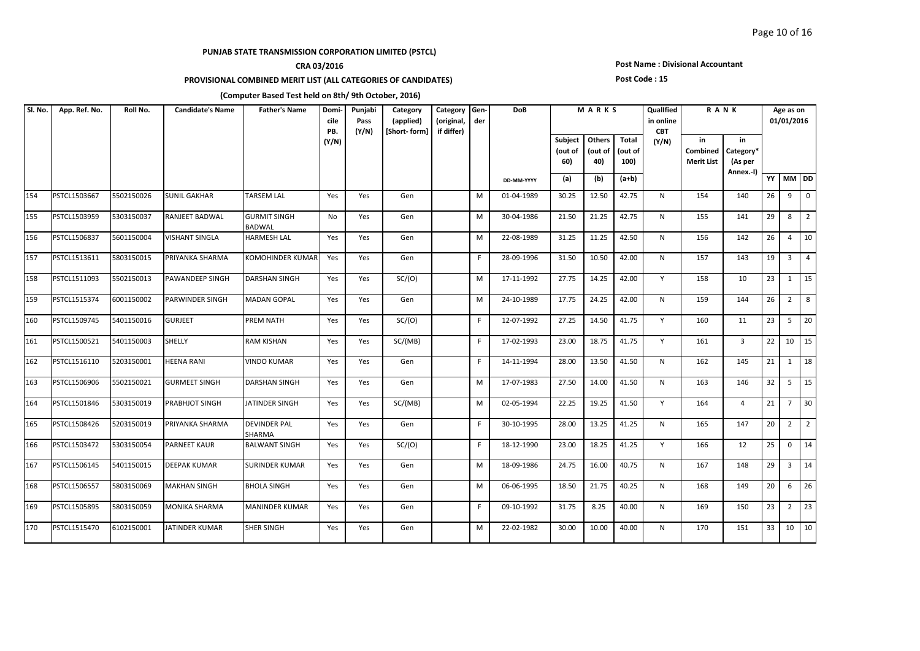## **CRA 03/2016**

### **PROVISIONAL COMBINED MERIT LIST (ALL CATEGORIES OF CANDIDATES)**

### **Post Name : Divisional Accountant**

#### **Post Code : 15**

| Sl. No. | App. Ref. No. | Roll No.   | <b>Candidate's Name</b> | <b>Father's Name</b>                 | Domi-<br>cile<br>PB. | Punjabi<br>Pass<br>(Y/N) | Category<br>(applied)<br>[Short-form] | Category<br>(original,<br>if differ) | Gen-<br>der | DoB        |                           | MARKS                    |                                 | Qualified<br>in online<br><b>CBT</b> |                                     | <b>RANK</b>                             |    | Age as on<br>01/01/2016 |                 |
|---------|---------------|------------|-------------------------|--------------------------------------|----------------------|--------------------------|---------------------------------------|--------------------------------------|-------------|------------|---------------------------|--------------------------|---------------------------------|--------------------------------------|-------------------------------------|-----------------------------------------|----|-------------------------|-----------------|
|         |               |            |                         |                                      | (Y/N)                |                          |                                       |                                      |             |            | Subject<br>(out of<br>60) | Others<br>(out of<br>40) | <b>Total</b><br>(out of<br>100) | (Y/N)                                | in<br>Combined<br><b>Merit List</b> | in<br>Category*<br>(As per<br>Annex.-I) |    |                         |                 |
|         |               |            |                         |                                      |                      |                          |                                       |                                      |             | DD-MM-YYYY | (a)                       | (b)                      | $(a+b)$                         |                                      |                                     |                                         |    | YY MM DD                |                 |
| 154     | PSTCL1503667  | 5502150026 | <b>SUNIL GAKHAR</b>     | <b>TARSEM LAL</b>                    | Yes                  | Yes                      | Gen                                   |                                      | М           | 01-04-1989 | 30.25                     | 12.50                    | 42.75                           | N                                    | 154                                 | 140                                     | 26 | 9                       | $\overline{0}$  |
| 155     | PSTCL1503959  | 5303150037 | RANJEET BADWAL          | <b>GURMIT SINGH</b><br><b>BADWAL</b> | No                   | Yes                      | Gen                                   |                                      | М           | 30-04-1986 | 21.50                     | 21.25                    | 42.75                           | N                                    | 155                                 | 141                                     | 29 | 8                       | $\overline{2}$  |
| 156     | PSTCL1506837  | 5601150004 | <b>VISHANT SINGLA</b>   | <b>HARMESH LAL</b>                   | Yes                  | Yes                      | Gen                                   |                                      | м           | 22-08-1989 | 31.25                     | 11.25                    | 42.50                           | N                                    | 156                                 | 142                                     | 26 | $\overline{4}$          | 10              |
| 157     | PSTCL1513611  | 5803150015 | PRIYANKA SHARMA         | KOMOHINDER KUMAR                     | Yes                  | Yes                      | Gen                                   |                                      | F.          | 28-09-1996 | 31.50                     | 10.50                    | 42.00                           | N                                    | 157                                 | 143                                     | 19 | $\overline{3}$          | $\vert$ 4       |
| 158     | PSTCL1511093  | 5502150013 | <b>PAWANDEEP SINGH</b>  | <b>DARSHAN SINGH</b>                 | Yes                  | Yes                      | SC/(O)                                |                                      | M           | 17-11-1992 | 27.75                     | 14.25                    | 42.00                           | Y                                    | 158                                 | 10                                      | 23 | 1                       | 15              |
| 159     | PSTCL1515374  | 6001150002 | <b>PARWINDER SINGH</b>  | <b>MADAN GOPAL</b>                   | Yes                  | Yes                      | Gen                                   |                                      | M           | 24-10-1989 | 17.75                     | 24.25                    | 42.00                           | N                                    | 159                                 | 144                                     | 26 | $\overline{2}$          | 8               |
| 160     | PSTCL1509745  | 5401150016 | <b>GURJEET</b>          | PREM NATH                            | Yes                  | Yes                      | SC/(O)                                |                                      | F.          | 12-07-1992 | 27.25                     | 14.50                    | 41.75                           | Y                                    | 160                                 | 11                                      | 23 | 5                       | 20              |
| 161     | PSTCL1500521  | 5401150003 | <b>SHELLY</b>           | RAM KISHAN                           | Yes                  | Yes                      | SC/(MB)                               |                                      | F.          | 17-02-1993 | 23.00                     | 18.75                    | 41.75                           | Y                                    | 161                                 | $\overline{3}$                          | 22 |                         | $10 \mid 15$    |
| 162     | PSTCL1516110  | 5203150001 | <b>HEENA RANI</b>       | <b>VINDO KUMAR</b>                   | Yes                  | Yes                      | Gen                                   |                                      | F.          | 14-11-1994 | 28.00                     | 13.50                    | 41.50                           | N                                    | 162                                 | 145                                     | 21 | 1                       | $\sqrt{18}$     |
| 163     | PSTCL1506906  | 5502150021 | <b>GURMEET SINGH</b>    | DARSHAN SINGH                        | Yes                  | Yes                      | Gen                                   |                                      | м           | 17-07-1983 | 27.50                     | 14.00                    | 41.50                           | N                                    | 163                                 | 146                                     | 32 | 5 <sup>5</sup>          | $\vert$ 15      |
| 164     | PSTCL1501846  | 5303150019 | PRABHJOT SINGH          | JATINDER SINGH                       | Yes                  | Yes                      | SC/(MB)                               |                                      | М           | 02-05-1994 | 22.25                     | 19.25                    | 41.50                           | Y                                    | 164                                 | $\overline{4}$                          | 21 | $\overline{7}$          | $ 30\rangle$    |
| 165     | PSTCL1508426  | 5203150019 | PRIYANKA SHARMA         | DEVINDER PAL<br>SHARMA               | Yes                  | Yes                      | Gen                                   |                                      | F.          | 30-10-1995 | 28.00                     | 13.25                    | 41.25                           | N                                    | 165                                 | 147                                     | 20 | $\overline{2}$          | $\vert$ 2       |
| 166     | PSTCL1503472  | 5303150054 | <b>PARNEET KAUR</b>     | <b>BALWANT SINGH</b>                 | Yes                  | Yes                      | SC/(O)                                |                                      | F.          | 18-12-1990 | 23.00                     | 18.25                    | 41.25                           | Y                                    | 166                                 | 12                                      | 25 | $\mathbf{0}$            | 14              |
| 167     | PSTCL1506145  | 5401150015 | <b>DEEPAK KUMAR</b>     | SURINDER KUMAR                       | Yes                  | Yes                      | Gen                                   |                                      | М           | 18-09-1986 | 24.75                     | 16.00                    | 40.75                           | N                                    | 167                                 | 148                                     | 29 |                         | $3 \mid 14$     |
| 168     | PSTCL1506557  | 5803150069 | <b>MAKHAN SINGH</b>     | BHOLA SINGH                          | Yes                  | Yes                      | Gen                                   |                                      | M           | 06-06-1995 | 18.50                     | 21.75                    | 40.25                           | N                                    | 168                                 | 149                                     | 20 | 6                       | $ 26\rangle$    |
| 169     | PSTCL1505895  | 5803150059 | <b>MONIKA SHARMA</b>    | MANINDER KUMAR                       | Yes                  | Yes                      | Gen                                   |                                      | F.          | 09-10-1992 | 31.75                     | 8.25                     | 40.00                           | $\mathsf{N}$                         | 169                                 | 150                                     | 23 | $\overline{2}$          | $\overline{23}$ |
| 170     | PSTCL1515470  | 6102150001 | JATINDER KUMAR          | SHER SINGH                           | Yes                  | Yes                      | Gen                                   |                                      | M           | 22-02-1982 | 30.00                     | 10.00                    | 40.00                           | N                                    | 170                                 | 151                                     | 33 |                         | $10 \mid 10$    |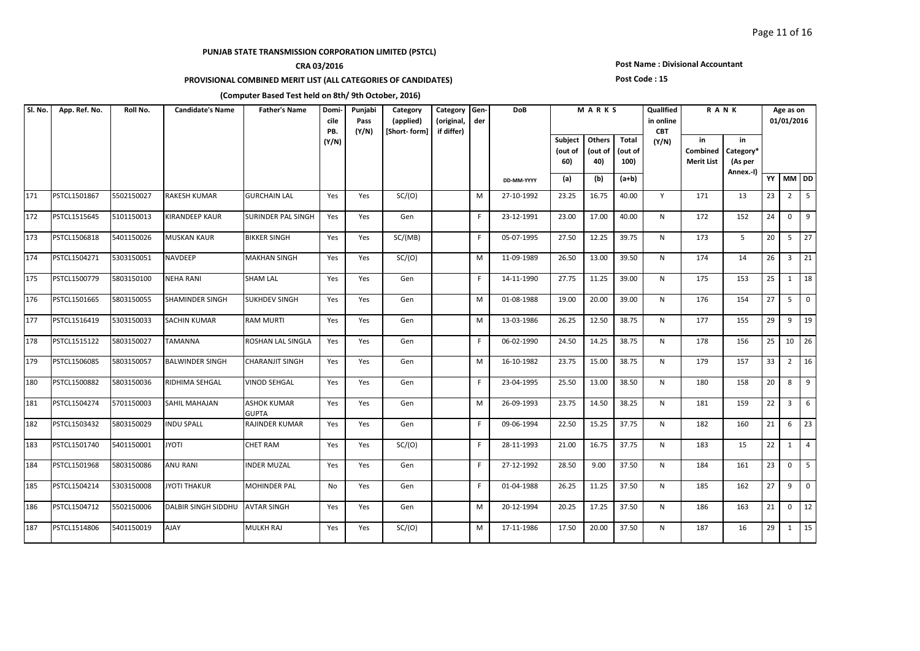## **CRA 03/2016**

### **PROVISIONAL COMBINED MERIT LIST (ALL CATEGORIES OF CANDIDATES)**

#### **Post Name : Divisional Accountant**

#### **Post Code : 15**

| Sl. No. | App. Ref. No. | Roll No.   | <b>Candidate's Name</b>    | <b>Father's Name</b>               | Domi-<br>cile<br>PB. | Punjabi<br>Pass<br>(Y/N) | Category<br>(applied)<br>[Short-form] | Category<br>(original,<br>if differ) | Gen-<br>der | <b>DoB</b> |                           | MARKS                    |                          | Qualified<br>in online<br><b>CBT</b> | RANK                                |                                         |    | Age as on<br>01/01/2016 |                |
|---------|---------------|------------|----------------------------|------------------------------------|----------------------|--------------------------|---------------------------------------|--------------------------------------|-------------|------------|---------------------------|--------------------------|--------------------------|--------------------------------------|-------------------------------------|-----------------------------------------|----|-------------------------|----------------|
|         |               |            |                            |                                    | (Y/N)                |                          |                                       |                                      |             |            | Subject<br>(out of<br>60) | Others<br>(out of<br>40) | Total<br>(out of<br>100) | (Y/N)                                | in<br>Combined<br><b>Merit List</b> | in<br>Category*<br>(As per<br>Annex.-I) |    |                         |                |
|         |               |            |                            |                                    |                      |                          |                                       |                                      |             | DD-MM-YYYY | (a)                       | (b)                      | $(a+b)$                  |                                      |                                     |                                         |    | YY MM DD                |                |
| 171     | PSTCL1501867  | 5502150027 | RAKESH KUMAR               | <b>GURCHAIN LAL</b>                | Yes                  | Yes                      | SC/(O)                                |                                      | M           | 27-10-1992 | 23.25                     | 16.75                    | 40.00                    | Y                                    | 171                                 | 13                                      | 23 | $\overline{2}$          | $\sqrt{5}$     |
| 172     | PSTCL1515645  | 5101150013 | KIRANDEEP KAUR             | <b>SURINDER PAL SINGH</b>          | Yes                  | Yes                      | Gen                                   |                                      | F           | 23-12-1991 | 23.00                     | 17.00                    | 40.00                    | N                                    | 172                                 | 152                                     | 24 | $\mathbf 0$             | 9              |
| 173     | PSTCL1506818  | 5401150026 | <b>MUSKAN KAUR</b>         | <b>BIKKER SINGH</b>                | Yes                  | Yes                      | SC/(MB)                               |                                      | F.          | 05-07-1995 | 27.50                     | 12.25                    | 39.75                    | N                                    | 173                                 | $5^{\circ}$                             | 20 | 5 <sup>5</sup>          | 127            |
| 174     | PSTCL1504271  | 5303150051 | NAVDEEP                    | <b>MAKHAN SINGH</b>                | Yes                  | Yes                      | SC/(O)                                |                                      | M           | 11-09-1989 | 26.50                     | 13.00                    | 39.50                    | N                                    | 174                                 | 14                                      | 26 |                         | $3 \mid 21$    |
| 175     | PSTCL1500779  | 5803150100 | <b>NEHA RANI</b>           | <b>SHAM LAL</b>                    | Yes                  | Yes                      | Gen                                   |                                      | F           | 14-11-1990 | 27.75                     | 11.25                    | 39.00                    | N                                    | 175                                 | 153                                     | 25 |                         | $1 \mid 18$    |
| 176     | PSTCL1501665  | 5803150055 | SHAMINDER SINGH            | <b>SUKHDEV SINGH</b>               | Yes                  | Yes                      | Gen                                   |                                      | M           | 01-08-1988 | 19.00                     | 20.00                    | 39.00                    | N                                    | 176                                 | 154                                     | 27 | 5 <sub>1</sub>          | $\overline{0}$ |
| 177     | PSTCL1516419  | 5303150033 | <b>SACHIN KUMAR</b>        | <b>RAM MURTI</b>                   | Yes                  | Yes                      | Gen                                   |                                      | М           | 13-03-1986 | 26.25                     | 12.50                    | 38.75                    | N                                    | 177                                 | 155                                     | 29 | 9                       | 19             |
| 178     | PSTCL1515122  | 5803150027 | TAMANNA                    | ROSHAN LAL SINGLA                  | Yes                  | Yes                      | Gen                                   |                                      | F           | 06-02-1990 | 24.50                     | 14.25                    | 38.75                    | N                                    | 178                                 | 156                                     | 25 | 10                      | 126            |
| 179     | PSTCL1506085  | 5803150057 | <b>BALWINDER SINGH</b>     | <b>CHARANJIT SINGH</b>             | Yes                  | Yes                      | Gen                                   |                                      | M           | 16-10-1982 | 23.75                     | 15.00                    | 38.75                    | N                                    | 179                                 | 157                                     | 33 |                         | $2 \mid 16$    |
| 180     | PSTCL1500882  | 5803150036 | RIDHIMA SEHGAL             | <b>VINOD SEHGAL</b>                | Yes                  | Yes                      | Gen                                   |                                      | F           | 23-04-1995 | 25.50                     | 13.00                    | 38.50                    | N                                    | 180                                 | 158                                     | 20 | 8                       | $\overline{9}$ |
| 181     | PSTCL1504274  | 5701150003 | SAHIL MAHAJAN              | <b>ASHOK KUMAR</b><br><b>GUPTA</b> | Yes                  | Yes                      | Gen                                   |                                      | М           | 26-09-1993 | 23.75                     | 14.50                    | 38.25                    | N                                    | 181                                 | 159                                     | 22 | $\overline{3}$          | 6              |
| 182     | PSTCL1503432  | 5803150029 | <b>INDU SPALL</b>          | RAJINDER KUMAR                     | Yes                  | Yes                      | Gen                                   |                                      | F.          | 09-06-1994 | 22.50                     | 15.25                    | 37.75                    | N                                    | 182                                 | 160                                     | 21 | 6                       | 23             |
| 183     | PSTCL1501740  | 5401150001 | <b>ITOYL</b>               | <b>CHET RAM</b>                    | Yes                  | Yes                      | SC/(O)                                |                                      | F.          | 28-11-1993 | 21.00                     | 16.75                    | 37.75                    | N                                    | 183                                 | 15                                      | 22 | 1                       | $\overline{4}$ |
| 184     | PSTCL1501968  | 5803150086 | ANU RANI                   | <b>INDER MUZAL</b>                 | Yes                  | Yes                      | Gen                                   |                                      | F.          | 27-12-1992 | 28.50                     | 9.00                     | 37.50                    | N                                    | 184                                 | 161                                     | 23 | $\overline{0}$          | $\vert$ 5      |
| 185     | PSTCL1504214  | 5303150008 | JYOTI THAKUR               | <b>MOHINDER PAL</b>                | No                   | Yes                      | Gen                                   |                                      | F.          | 01-04-1988 | 26.25                     | 11.25                    | 37.50                    | N                                    | 185                                 | 162                                     | 27 | 9                       | $\Omega$       |
| 186     | PSTCL1504712  | 5502150006 | <b>DALBIR SINGH SIDDHU</b> | <b>AVTAR SINGH</b>                 | Yes                  | Yes                      | Gen                                   |                                      | M           | 20-12-1994 | 20.25                     | 17.25                    | 37.50                    | N                                    | 186                                 | 163                                     | 21 | $\mathbf{0}$            | 12             |
| 187     | PSTCL1514806  | 5401150019 | <b>AJAY</b>                | <b>MULKH RAJ</b>                   | Yes                  | Yes                      | SC/(O)                                |                                      | M           | 17-11-1986 | 17.50                     | 20.00                    | 37.50                    | N                                    | 187                                 | 16                                      | 29 |                         | $1 \mid 15$    |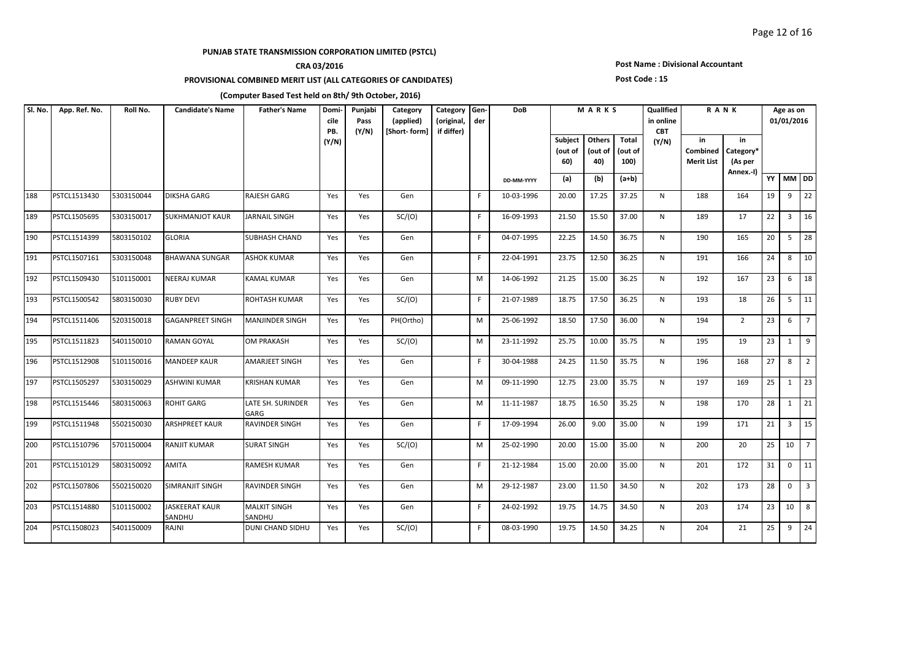## **CRA 03/2016**

### **PROVISIONAL COMBINED MERIT LIST (ALL CATEGORIES OF CANDIDATES)**

### **Post Name : Divisional Accountant**

#### **Post Code : 15**

| SI. No. | App. Ref. No. | Roll No.   | <b>Candidate's Name</b>         | <b>Father's Name</b>          | Domi-<br>cile<br>PB. | Punjabi<br>Pass<br>(Y/N) | Category<br>(applied)<br>[Short-form] | Category Gen-<br>(original,<br>if differ) | der | <b>DoB</b> |                                  | MARKS                    |                          | Qualified<br>in online<br><b>CBT</b> |                                     | <b>RANK</b>                             |    | Age as on<br>01/01/2016 |                 |
|---------|---------------|------------|---------------------------------|-------------------------------|----------------------|--------------------------|---------------------------------------|-------------------------------------------|-----|------------|----------------------------------|--------------------------|--------------------------|--------------------------------------|-------------------------------------|-----------------------------------------|----|-------------------------|-----------------|
|         |               |            |                                 |                               | (Y/N)                |                          |                                       |                                           |     |            | <b>Subject</b><br>(out of<br>60) | Others<br>(out of<br>40) | Total<br>(out of<br>100) | (Y/N)                                | in<br>Combined<br><b>Merit List</b> | in<br>Category*<br>(As per<br>Annex.-I) |    |                         |                 |
|         |               |            |                                 |                               |                      |                          |                                       |                                           |     | DD-MM-YYYY | (a)                              | (b)                      | $(a+b)$                  |                                      |                                     |                                         |    | YY MM DD                |                 |
| 188     | PSTCL1513430  | 5303150044 | <b>DIKSHA GARG</b>              | <b>RAJESH GARG</b>            | Yes                  | Yes                      | Gen                                   |                                           | F.  | 10-03-1996 | 20.00                            | 17.25                    | 37.25                    | N                                    | 188                                 | 164                                     | 19 | 9                       | $\overline{22}$ |
| 189     | PSTCL1505695  | 5303150017 | <b>SUKHMANJOT KAUR</b>          | <b>JARNAIL SINGH</b>          | Yes                  | Yes                      | SC/(O)                                |                                           | F.  | 16-09-1993 | 21.50                            | 15.50                    | 37.00                    | N                                    | 189                                 | 17                                      | 22 | $\overline{3}$          | 16              |
| 190     | PSTCL1514399  | 5803150102 | <b>GLORIA</b>                   | <b>SUBHASH CHAND</b>          | Yes                  | Yes                      | Gen                                   |                                           | F.  | 04-07-1995 | 22.25                            | 14.50                    | 36.75                    | N                                    | 190                                 | 165                                     | 20 | 5                       | 28              |
| 191     | PSTCL1507161  | 5303150048 | <b>BHAWANA SUNGAR</b>           | <b>ASHOK KUMAR</b>            | Yes                  | Yes                      | Gen                                   |                                           | F   | 22-04-1991 | 23.75                            | 12.50                    | 36.25                    | N                                    | 191                                 | 166                                     | 24 | 8                       | 10              |
| 192     | PSTCL1509430  | 5101150001 | <b>NEERAJ KUMAR</b>             | KAMAL KUMAR                   | Yes                  | Yes                      | Gen                                   |                                           | M   | 14-06-1992 | 21.25                            | 15.00                    | 36.25                    | N                                    | 192                                 | 167                                     | 23 | 6                       | 18              |
| 193     | PSTCL1500542  | 5803150030 | <b>RUBY DEVI</b>                | ROHTASH KUMAR                 | Yes                  | Yes                      | SC/(O)                                |                                           | F.  | 21-07-1989 | 18.75                            | 17.50                    | 36.25                    | N                                    | 193                                 | 18                                      | 26 | 5                       | $\vert$ 11      |
| 194     | PSTCL1511406  | 5203150018 | <b>GAGANPREET SINGH</b>         | <b>MANJINDER SINGH</b>        | Yes                  | Yes                      | PH(Ortho)                             |                                           | M   | 25-06-1992 | 18.50                            | 17.50                    | 36.00                    | N                                    | 194                                 | $\overline{2}$                          | 23 | 6                       | $\overline{7}$  |
| 195     | PSTCL1511823  | 5401150010 | <b>RAMAN GOYAL</b>              | <b>OM PRAKASH</b>             | Yes                  | Yes                      | SC/(O)                                |                                           | M   | 23-11-1992 | 25.75                            | 10.00                    | 35.75                    | N                                    | 195                                 | 19                                      | 23 | 1                       | 9               |
| 196     | PSTCL1512908  | 5101150016 | <b>MANDEEP KAUR</b>             | <b>AMARJEET SINGH</b>         | Yes                  | Yes                      | Gen                                   |                                           | F.  | 30-04-1988 | 24.25                            | 11.50                    | 35.75                    | N                                    | 196                                 | 168                                     | 27 | 8                       | $\overline{2}$  |
| 197     | PSTCL1505297  | 5303150029 | <b>ASHWINI KUMAR</b>            | <b>KRISHAN KUMAR</b>          | Yes                  | Yes                      | Gen                                   |                                           | M   | 09-11-1990 | 12.75                            | 23.00                    | 35.75                    | N                                    | 197                                 | 169                                     | 25 | 1                       | 23              |
| 198     | PSTCL1515446  | 5803150063 | <b>ROHIT GARG</b>               | LATE SH. SURINDER<br>GARG     | Yes                  | Yes                      | Gen                                   |                                           | М   | 11-11-1987 | 18.75                            | 16.50                    | 35.25                    | N                                    | 198                                 | 170                                     | 28 | $\mathbf{1}$            | 21              |
| 199     | PSTCL1511948  | 5502150030 | <b>ARSHPREET KAUR</b>           | RAVINDER SINGH                | Yes                  | Yes                      | Gen                                   |                                           | F.  | 17-09-1994 | 26.00                            | 9.00                     | 35.00                    | N                                    | 199                                 | 171                                     | 21 | $\overline{3}$          | $\overline{15}$ |
| 200     | PSTCL1510796  | 5701150004 | <b>RANJIT KUMAR</b>             | <b>SURAT SINGH</b>            | Yes                  | Yes                      | SC/(O)                                |                                           | M   | 25-02-1990 | 20.00                            | 15.00                    | 35.00                    | N                                    | 200                                 | 20                                      | 25 | 10                      | $\overline{7}$  |
| 201     | PSTCL1510129  | 5803150092 | <b>AMITA</b>                    | RAMESH KUMAR                  | Yes                  | Yes                      | Gen                                   |                                           | F.  | 21-12-1984 | 15.00                            | 20.00                    | 35.00                    | N                                    | 201                                 | 172                                     | 31 | $\mathbf{0}$            | 11              |
| 202     | PSTCL1507806  | 5502150020 | <b>SIMRANJIT SINGH</b>          | RAVINDER SINGH                | Yes                  | Yes                      | Gen                                   |                                           | M   | 29-12-1987 | 23.00                            | 11.50                    | 34.50                    | N                                    | 202                                 | 173                                     | 28 | $\Omega$                | $\overline{3}$  |
| 203     | PSTCL1514880  | 5101150002 | <b>JASKEERAT KAUR</b><br>SANDHU | <b>MALKIT SINGH</b><br>SANDHU | Yes                  | Yes                      | Gen                                   |                                           | F.  | 24-02-1992 | 19.75                            | 14.75                    | 34.50                    | $\mathsf{N}$                         | 203                                 | 174                                     | 23 | 10                      | 8               |
| 204     | PSTCL1508023  | 5401150009 | RAJNI                           | DUNI CHAND SIDHU              | Yes                  | Yes                      | SC/(O)                                |                                           | F   | 08-03-1990 | 19.75                            | 14.50                    | 34.25                    | N                                    | 204                                 | 21                                      | 25 | 9                       | 24              |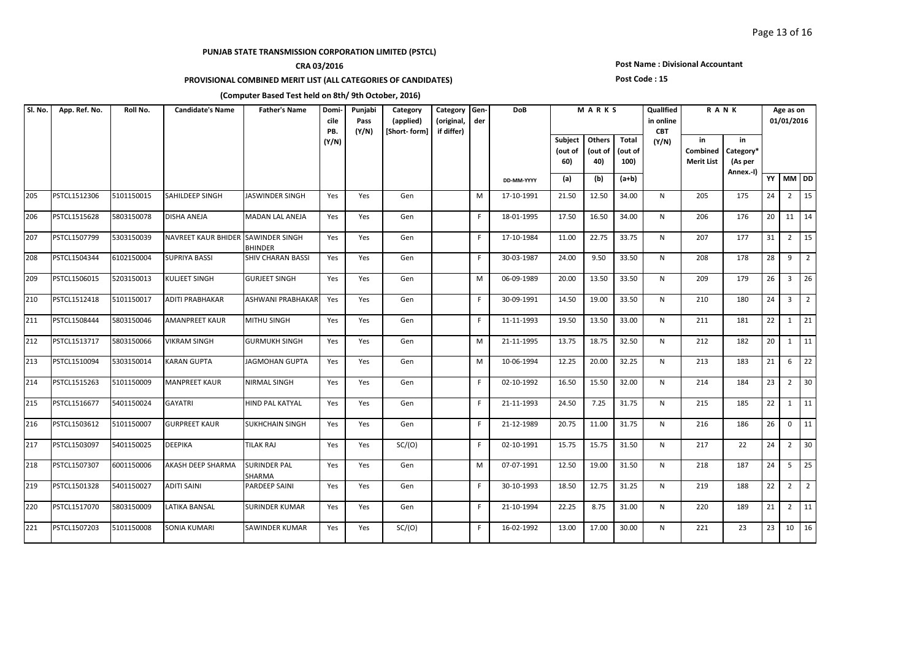## **CRA 03/2016**

### **PROVISIONAL COMBINED MERIT LIST (ALL CATEGORIES OF CANDIDATES)**

### **Post Name : Divisional Accountant**

#### **Post Code : 15**

| SI. No. | App. Ref. No. | Roll No.   | <b>Candidate's Name</b>            | <b>Father's Name</b>          | Domi-<br>cile<br>PB. | Punjabi<br>Pass<br>(Y/N) | Category<br>(applied)<br>[Short-form] | Category Gen-<br>(original,<br>if differ) | der | <b>DoB</b> |                                  |                          |                          | MARKS        |                                     | QualIfied<br>in online<br><b>CBT</b>    |    | <b>RANK</b>    | Age as on<br>01/01/2016 |  |  |
|---------|---------------|------------|------------------------------------|-------------------------------|----------------------|--------------------------|---------------------------------------|-------------------------------------------|-----|------------|----------------------------------|--------------------------|--------------------------|--------------|-------------------------------------|-----------------------------------------|----|----------------|-------------------------|--|--|
|         |               |            |                                    |                               | (Y/N)                |                          |                                       |                                           |     |            | <b>Subject</b><br>(out of<br>60) | Others<br>(out of<br>40) | Total<br>(out of<br>100) | (Y/N)        | in<br>Combined<br><b>Merit List</b> | in<br>Category*<br>(As per<br>Annex.-I) |    |                |                         |  |  |
|         |               |            |                                    |                               |                      |                          |                                       |                                           |     | DD-MM-YYYY | (a)                              | (b)                      | $(a+b)$                  |              |                                     |                                         | YY | MM DD          |                         |  |  |
| 205     | PSTCL1512306  | 5101150015 | <b>SAHILDEEP SINGH</b>             | <b>JASWINDER SINGH</b>        | Yes                  | Yes                      | Gen                                   |                                           | M   | 17-10-1991 | 21.50                            | 12.50                    | 34.00                    | N            | 205                                 | 175                                     | 24 | $\overline{2}$ | $\overline{15}$         |  |  |
| 206     | PSTCL1515628  | 5803150078 | DISHA ANEJA                        | MADAN LAL ANEJA               | Yes                  | Yes                      | Gen                                   |                                           | F   | 18-01-1995 | 17.50                            | 16.50                    | 34.00                    | N            | 206                                 | 176                                     | 20 |                | $11 \mid 14$            |  |  |
| 207     | PSTCL1507799  | 5303150039 | NAVREET KAUR BHIDER SAWINDER SINGH | <b>BHINDER</b>                | Yes                  | Yes                      | Gen                                   |                                           | F.  | 17-10-1984 | 11.00                            | 22.75                    | 33.75                    | N            | 207                                 | 177                                     | 31 | $\overline{2}$ | $\vert$ 15              |  |  |
| 208     | PSTCL1504344  | 6102150004 | <b>SUPRIYA BASSI</b>               | SHIV CHARAN BASSI             | Yes                  | Yes                      | Gen                                   |                                           | F   | 30-03-1987 | 24.00                            | 9.50                     | 33.50                    | N            | 208                                 | 178                                     | 28 | 9              | $\overline{2}$          |  |  |
| 209     | PSTCL1506015  | 5203150013 | <b>KULJEET SINGH</b>               | <b>GURJEET SINGH</b>          | Yes                  | Yes                      | Gen                                   |                                           | M   | 06-09-1989 | 20.00                            | 13.50                    | 33.50                    | N            | 209                                 | 179                                     | 26 | $\overline{3}$ | 26                      |  |  |
| 210     | PSTCL1512418  | 5101150017 | <b>ADITI PRABHAKAR</b>             | ASHWANI PRABHAKAR             | Yes                  | Yes                      | Gen                                   |                                           | F.  | 30-09-1991 | 14.50                            | 19.00                    | 33.50                    | N            | 210                                 | 180                                     | 24 | $\overline{3}$ | $\vert$ 2               |  |  |
| 211     | PSTCL1508444  | 5803150046 | <b>AMANPREET KAUR</b>              | <b>MITHU SINGH</b>            | Yes                  | Yes                      | Gen                                   |                                           | F.  | 11-11-1993 | 19.50                            | 13.50                    | 33.00                    | N            | 211                                 | 181                                     | 22 | 1              | 21                      |  |  |
| 212     | PSTCL1513717  | 5803150066 | <b>VIKRAM SINGH</b>                | <b>GURMUKH SINGH</b>          | Yes                  | Yes                      | Gen                                   |                                           | M   | 21-11-1995 | 13.75                            | 18.75                    | 32.50                    | N            | 212                                 | 182                                     | 20 | 1              | $\vert$ 11              |  |  |
| 213     | PSTCL1510094  | 5303150014 | <b>KARAN GUPTA</b>                 | <b>JAGMOHAN GUPTA</b>         | Yes                  | Yes                      | Gen                                   |                                           | M   | 10-06-1994 | 12.25                            | 20.00                    | 32.25                    | N            | 213                                 | 183                                     | 21 | 6              | $\overline{22}$         |  |  |
| 214     | PSTCL1515263  | 5101150009 | <b>MANPREET KAUR</b>               | NIRMAL SINGH                  | Yes                  | Yes                      | Gen                                   |                                           | F.  | 02-10-1992 | 16.50                            | 15.50                    | 32.00                    | N            | 214                                 | 184                                     | 23 | $\overline{2}$ | 30                      |  |  |
| 215     | PSTCL1516677  | 5401150024 | <b>GAYATRI</b>                     | HIND PAL KATYAL               | Yes                  | Yes                      | Gen                                   |                                           | F.  | 21-11-1993 | 24.50                            | 7.25                     | 31.75                    | N            | 215                                 | 185                                     | 22 | $\mathbf{1}$   | $\vert$ 11              |  |  |
| 216     | PSTCL1503612  | 5101150007 | <b>GURPREET KAUR</b>               | <b>SUKHCHAIN SINGH</b>        | Yes                  | Yes                      | Gen                                   |                                           | F.  | 21-12-1989 | 20.75                            | 11.00                    | 31.75                    | N            | 216                                 | 186                                     | 26 | $\mathbf{0}$   | 11                      |  |  |
| 217     | PSTCL1503097  | 5401150025 | <b>DEEPIKA</b>                     | TILAK RAJ                     | Yes                  | Yes                      | SC/(O)                                |                                           | F.  | 02-10-1991 | 15.75                            | 15.75                    | 31.50                    | N            | 217                                 | 22                                      | 24 | $\overline{2}$ | $ 30\rangle$            |  |  |
| 218     | PSTCL1507307  | 6001150006 | <b>AKASH DEEP SHARMA</b>           | <b>SURINDER PAL</b><br>SHARMA | Yes                  | Yes                      | Gen                                   |                                           | M   | 07-07-1991 | 12.50                            | 19.00                    | 31.50                    | N            | 218                                 | 187                                     | 24 |                | $5 \mid 25$             |  |  |
| 219     | PSTCL1501328  | 5401150027 | <b>ADITI SAINI</b>                 | PARDEEP SAINI                 | Yes                  | Yes                      | Gen                                   |                                           | F.  | 30-10-1993 | 18.50                            | 12.75                    | 31.25                    | N            | 219                                 | 188                                     | 22 | $\overline{2}$ | $\overline{2}$          |  |  |
| 220     | PSTCL1517070  | 5803150009 | <b>LATIKA BANSAL</b>               | <b>SURINDER KUMAR</b>         | Yes                  | Yes                      | Gen                                   |                                           | F.  | 21-10-1994 | 22.25                            | 8.75                     | 31.00                    | $\mathsf{N}$ | 220                                 | 189                                     | 21 | $\overline{2}$ | $\overline{11}$         |  |  |
| 221     | PSTCL1507203  | 5101150008 | <b>SONIA KUMARI</b>                | SAWINDER KUMAR                | Yes                  | Yes                      | SC/(O)                                |                                           | F.  | 16-02-1992 | 13.00                            | 17.00                    | 30.00                    | N            | 221                                 | 23                                      | 23 |                | $10 \mid 16$            |  |  |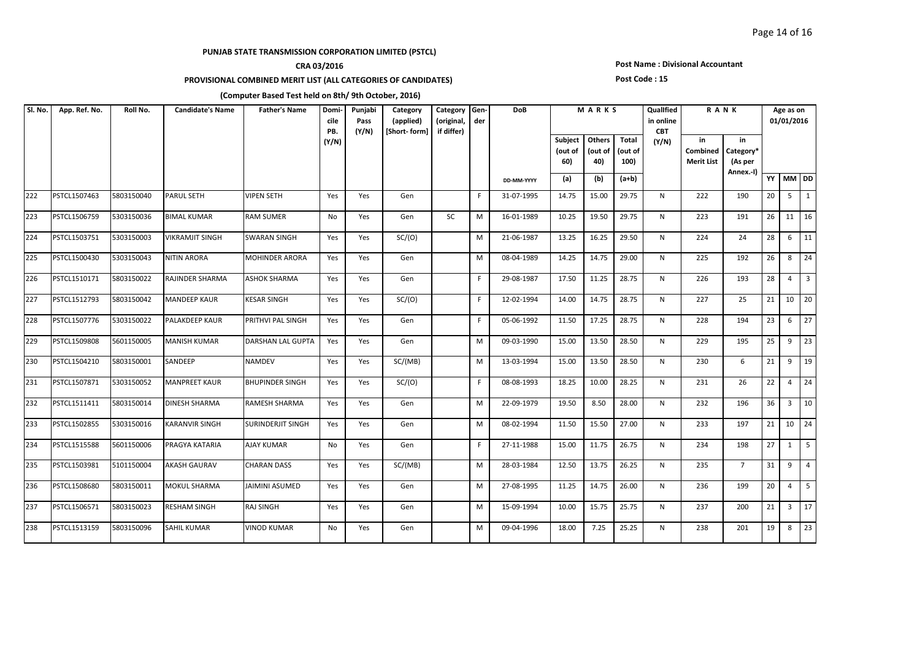## **CRA 03/2016**

### **PROVISIONAL COMBINED MERIT LIST (ALL CATEGORIES OF CANDIDATES)**

### **Post Name : Divisional Accountant**

#### **Post Code : 15**

| SI. No. | App. Ref. No. | Roll No.   | <b>Candidate's Name</b> | <b>Father's Name</b>     | Domi-<br>cile<br>PB. | Punjabi<br>Pass<br>(Y/N) | Category<br>(applied)<br>[Short-form] | Category<br>(original,<br>if differ) | Gen-<br>der | <b>DoB</b> | MARKS                     |                          |                          | Qualified<br>in online<br><b>CBT</b> | RANK                                |                                         |    | Age as on<br>01/01/2016 |                |
|---------|---------------|------------|-------------------------|--------------------------|----------------------|--------------------------|---------------------------------------|--------------------------------------|-------------|------------|---------------------------|--------------------------|--------------------------|--------------------------------------|-------------------------------------|-----------------------------------------|----|-------------------------|----------------|
|         |               |            |                         |                          | (Y/N)                |                          |                                       |                                      |             |            | Subject<br>(out of<br>60) | Others<br>(out of<br>40) | Total<br>(out of<br>100) | (Y/N)                                | in<br>Combined<br><b>Merit List</b> | in<br>Category*<br>(As per<br>Annex.-I) |    |                         |                |
|         |               |            |                         |                          |                      |                          |                                       |                                      |             | DD-MM-YYYY | (a)                       | (b)                      | $(a+b)$                  |                                      |                                     |                                         |    | YY MM DD                |                |
| 222     | PSTCL1507463  | 5803150040 | <b>PARUL SETH</b>       | <b>VIPEN SETH</b>        | Yes                  | Yes                      | Gen                                   |                                      | F.          | 31-07-1995 | 14.75                     | 15.00                    | 29.75                    | N                                    | 222                                 | 190                                     | 20 |                         | $5 \mid 1$     |
| 223     | PSTCL1506759  | 5303150036 | <b>BIMAL KUMAR</b>      | <b>RAM SUMER</b>         | No                   | Yes                      | Gen                                   | SC                                   | М           | 16-01-1989 | 10.25                     | 19.50                    | 29.75                    | N                                    | 223                                 | 191                                     | 26 |                         | $11 \mid 16$   |
| 224     | PSTCL1503751  | 5303150003 | <b>VIKRAMJIT SINGH</b>  | <b>SWARAN SINGH</b>      | Yes                  | Yes                      | SC/(O)                                |                                      | M           | 21-06-1987 | 13.25                     | 16.25                    | 29.50                    | $\mathsf{N}$                         | 224                                 | 24                                      | 28 | $6\overline{6}$         | 11             |
| 225     | PSTCL1500430  | 5303150043 | <b>NITIN ARORA</b>      | <b>MOHINDER ARORA</b>    | Yes                  | Yes                      | Gen                                   |                                      | M           | 08-04-1989 | 14.25                     | 14.75                    | 29.00                    | N                                    | 225                                 | 192                                     | 26 | 8                       | 24             |
| 226     | PSTCL1510171  | 5803150022 | <b>RAJINDER SHARMA</b>  | <b>ASHOK SHARMA</b>      | Yes                  | Yes                      | Gen                                   |                                      | F.          | 29-08-1987 | 17.50                     | 11.25                    | 28.75                    | N                                    | 226                                 | 193                                     | 28 | $\overline{4}$          | $\overline{3}$ |
| 227     | PSTCL1512793  | 5803150042 | <b>MANDEEP KAUR</b>     | KESAR SINGH              | Yes                  | Yes                      | SC/(O)                                |                                      | F.          | 12-02-1994 | 14.00                     | 14.75                    | 28.75                    | N                                    | 227                                 | 25                                      | 21 |                         | $10 \quad 20$  |
| 228     | PSTCL1507776  | 5303150022 | <b>PALAKDEEP KAUR</b>   | PRITHVI PAL SINGH        | Yes                  | Yes                      | Gen                                   |                                      | F.          | 05-06-1992 | 11.50                     | 17.25                    | 28.75                    | N                                    | 228                                 | 194                                     | 23 | 6                       | 127            |
| 229     | PSTCL1509808  | 5601150005 | <b>MANISH KUMAR</b>     | DARSHAN LAL GUPTA        | Yes                  | Yes                      | Gen                                   |                                      | M           | 09-03-1990 | 15.00                     | 13.50                    | 28.50                    | N                                    | 229                                 | 195                                     | 25 | 9                       | 23             |
| 230     | PSTCL1504210  | 5803150001 | SANDEEP                 | <b>NAMDEV</b>            | Yes                  | Yes                      | SC/(MB)                               |                                      | M           | 13-03-1994 | 15.00                     | 13.50                    | 28.50                    | N                                    | 230                                 | 6                                       | 21 | 9                       | 19             |
| 231     | PSTCL1507871  | 5303150052 | <b>MANPREET KAUR</b>    | <b>BHUPINDER SINGH</b>   | Yes                  | Yes                      | SC/(O)                                |                                      | F.          | 08-08-1993 | 18.25                     | 10.00                    | 28.25                    | N                                    | 231                                 | 26                                      | 22 |                         | $4 \mid 24$    |
| 232     | PSTCL1511411  | 5803150014 | <b>DINESH SHARMA</b>    | RAMESH SHARMA            | Yes                  | Yes                      | Gen                                   |                                      | M           | 22-09-1979 | 19.50                     | 8.50                     | 28.00                    | N                                    | 232                                 | 196                                     | 36 |                         | $3 \mid 10$    |
| 233     | PSTCL1502855  | 5303150016 | <b>KARANVIR SINGH</b>   | <b>SURINDERJIT SINGH</b> | Yes                  | Yes                      | Gen                                   |                                      | М           | 08-02-1994 | 11.50                     | 15.50                    | 27.00                    | N                                    | 233                                 | 197                                     | 21 |                         | 10 24          |
| 234     | PSTCL1515588  | 5601150006 | PRAGYA KATARIA          | AJAY KUMAR               | No                   | Yes                      | Gen                                   |                                      | F.          | 27-11-1988 | 15.00                     | 11.75                    | 26.75                    | N                                    | 234                                 | 198                                     | 27 | 1                       | 5              |
| 235     | PSTCL1503981  | 5101150004 | <b>AKASH GAURAV</b>     | <b>CHARAN DASS</b>       | Yes                  | Yes                      | SC/(MB)                               |                                      | M           | 28-03-1984 | 12.50                     | 13.75                    | 26.25                    | N                                    | 235                                 | $\overline{7}$                          | 31 | 9                       | $\vert$ 4      |
| 236     | PSTCL1508680  | 5803150011 | <b>MOKUL SHARMA</b>     | JAIMINI ASUMED           | Yes                  | Yes                      | Gen                                   |                                      | M           | 27-08-1995 | 11.25                     | 14.75                    | 26.00                    | N                                    | 236                                 | 199                                     | 20 | $\overline{4}$          | $5^{\circ}$    |
| 237     | PSTCL1506571  | 5803150023 | <b>RESHAM SINGH</b>     | RAJ SINGH                | Yes                  | Yes                      | Gen                                   |                                      | M           | 15-09-1994 | 10.00                     | 15.75                    | 25.75                    | N                                    | 237                                 | 200                                     | 21 |                         | $3 \mid 17$    |
| 238     | PSTCL1513159  | 5803150096 | <b>SAHIL KUMAR</b>      | <b>VINOD KUMAR</b>       | <b>No</b>            | Yes                      | Gen                                   |                                      | M           | 09-04-1996 | 18.00                     | 7.25                     | 25.25                    | N                                    | 238                                 | 201                                     | 19 | 8                       | 23             |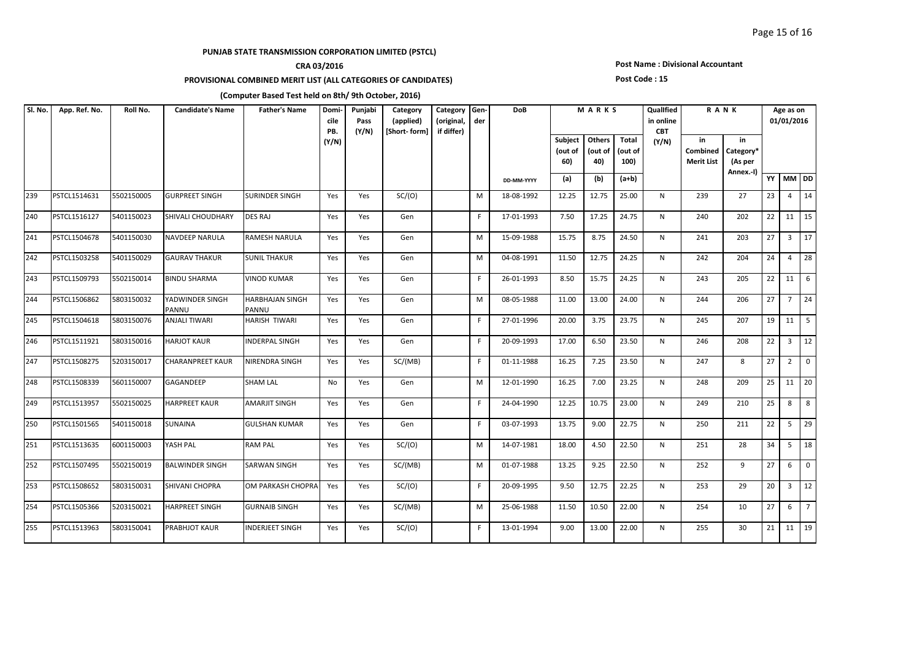## **CRA 03/2016**

### **PROVISIONAL COMBINED MERIT LIST (ALL CATEGORIES OF CANDIDATES)**

#### **Post Name : Divisional Accountant**

#### **Post Code : 15**

| SI. No. | App. Ref. No. | Roll No.   | <b>Candidate's Name</b>  | <b>Father's Name</b>            | Domi-<br>cile<br>PB. | Punjabi<br>Pass<br>(Y/N) | Category<br>(applied)<br>[Short-form] | Category<br>(original,<br>if differ) | Gen-<br>der | <b>DoB</b> |                           | MARKS                    |                          |       |                                            | Qualified<br>in online<br><b>CBT</b>    | <b>RANK</b> |                         |                   | Age as on<br>01/01/2016 |  |
|---------|---------------|------------|--------------------------|---------------------------------|----------------------|--------------------------|---------------------------------------|--------------------------------------|-------------|------------|---------------------------|--------------------------|--------------------------|-------|--------------------------------------------|-----------------------------------------|-------------|-------------------------|-------------------|-------------------------|--|
|         |               |            |                          |                                 | (Y/N)                |                          |                                       |                                      |             |            | Subject<br>(out of<br>60) | Others<br>(out of<br>40) | Total<br>(out of<br>100) | (Y/N) | in<br><b>Combined</b><br><b>Merit List</b> | in<br>Category*<br>(As per<br>Annex.-I) |             |                         |                   |                         |  |
|         |               |            |                          |                                 |                      |                          |                                       |                                      |             | DD-MM-YYYY | (a)                       | (b)                      | $(a+b)$                  |       |                                            |                                         |             | YY MM DD                |                   |                         |  |
| 239     | PSTCL1514631  | 5502150005 | <b>GURPREET SINGH</b>    | SURINDER SINGH                  | Yes                  | Yes                      | SC/(O)                                |                                      | M           | 18-08-1992 | 12.25                     | 12.75                    | 25.00                    | N     | 239                                        | 27                                      | 23          |                         | $4 \overline{14}$ |                         |  |
| 240     | PSTCL1516127  | 5401150023 | SHIVALI CHOUDHARY        | DES RAJ                         | Yes                  | Yes                      | Gen                                   |                                      | F.          | 17-01-1993 | 7.50                      | 17.25                    | 24.75                    | N     | 240                                        | 202                                     | 22          |                         | $11 \mid 15$      |                         |  |
| 241     | PSTCL1504678  | 5401150030 | <b>NAVDEEP NARULA</b>    | RAMESH NARULA                   | Yes                  | Yes                      | Gen                                   |                                      | м           | 15-09-1988 | 15.75                     | 8.75                     | 24.50                    | N     | 241                                        | 203                                     | 27          | $\overline{\mathbf{3}}$ | 17                |                         |  |
| 242     | PSTCL1503258  | 5401150029 | <b>GAURAV THAKUR</b>     | <b>SUNIL THAKUR</b>             | Yes                  | Yes                      | Gen                                   |                                      | M           | 04-08-1991 | 11.50                     | 12.75                    | 24.25                    | N     | 242                                        | 204                                     | 24          | $\overline{4}$          | 28                |                         |  |
| 243     | PSTCL1509793  | 5502150014 | <b>BINDU SHARMA</b>      | <b>VINOD KUMAR</b>              | Yes                  | Yes                      | Gen                                   |                                      | F           | 26-01-1993 | 8.50                      | 15.75                    | 24.25                    | N     | 243                                        | 205                                     | 22          |                         | $11 \mid 6$       |                         |  |
| 244     | PSTCL1506862  | 5803150032 | YADWINDER SINGH<br>PANNU | <b>HARBHAJAN SINGH</b><br>PANNU | Yes                  | Yes                      | Gen                                   |                                      | M           | 08-05-1988 | 11.00                     | 13.00                    | 24.00                    | N     | 244                                        | 206                                     | 27          |                         | $7 \mid 24$       |                         |  |
| 245     | PSTCL1504618  | 5803150076 | <b>ANJALI TIWARI</b>     | HARISH TIWARI                   | Yes                  | Yes                      | Gen                                   |                                      | F.          | 27-01-1996 | 20.00                     | 3.75                     | 23.75                    | N     | 245                                        | 207                                     | 19          |                         | $11 \mid 5$       |                         |  |
| 246     | PSTCL1511921  | 5803150016 | <b>HARJOT KAUR</b>       | INDERPAL SINGH                  | Yes                  | Yes                      | Gen                                   |                                      | F.          | 20-09-1993 | 17.00                     | 6.50                     | 23.50                    | N     | 246                                        | 208                                     | 22          | $\overline{3}$          | $\vert$ 12        |                         |  |
| 247     | PSTCL1508275  | 5203150017 | <b>CHARANPREET KAUR</b>  | NIRENDRA SINGH                  | Yes                  | Yes                      | SC/(MB)                               |                                      | F.          | 01-11-1988 | 16.25                     | 7.25                     | 23.50                    | N     | 247                                        | 8                                       | 27          | $\overline{2}$          | $\overline{0}$    |                         |  |
| 248     | PSTCL1508339  | 5601150007 | GAGANDEEP                | <b>SHAM LAL</b>                 | No                   | Yes                      | Gen                                   |                                      | M           | 12-01-1990 | 16.25                     | 7.00                     | 23.25                    | N     | 248                                        | 209                                     | 25          |                         | $11 \mid 20$      |                         |  |
| 249     | PSTCL1513957  | 5502150025 | <b>HARPREET KAUR</b>     | AMARJIT SINGH                   | Yes                  | Yes                      | Gen                                   |                                      | F.          | 24-04-1990 | 12.25                     | 10.75                    | 23.00                    | N     | 249                                        | 210                                     | 25          | 8                       | $\vert$ 8         |                         |  |
| 250     | PSTCL1501565  | 5401150018 | SUNAINA                  | <b>GULSHAN KUMAR</b>            | Yes                  | Yes                      | Gen                                   |                                      | F.          | 03-07-1993 | 13.75                     | 9.00                     | 22.75                    | N     | 250                                        | 211                                     | 22          |                         | $5 \mid 29$       |                         |  |
| 251     | PSTCL1513635  | 6001150003 | YASH PAL                 | <b>RAM PAL</b>                  | Yes                  | Yes                      | SC/(O)                                |                                      | M           | 14-07-1981 | 18.00                     | 4.50                     | 22.50                    | N     | 251                                        | 28                                      | 34          | 5 <sup>5</sup>          | <b>18</b>         |                         |  |
| 252     | PSTCL1507495  | 5502150019 | <b>BALWINDER SINGH</b>   | SARWAN SINGH                    | Yes                  | Yes                      | SC/(MB)                               |                                      | м           | 01-07-1988 | 13.25                     | 9.25                     | 22.50                    | N     | 252                                        | 9                                       | 27          | 6                       | $\overline{0}$    |                         |  |
| 253     | PSTCL1508652  | 5803150031 | SHIVANI CHOPRA           | OM PARKASH CHOPRA               | Yes                  | Yes                      | SC/(O)                                |                                      | F.          | 20-09-1995 | 9.50                      | 12.75                    | 22.25                    | N     | 253                                        | 29                                      | 20          | $\overline{3}$          | 12                |                         |  |
| 254     | PSTCL1505366  | 5203150021 | <b>HARPREET SINGH</b>    | <b>GURNAIB SINGH</b>            | Yes                  | Yes                      | SC/(MB)                               |                                      | м           | 25-06-1988 | 11.50                     | 10.50                    | 22.00                    | N     | 254                                        | 10                                      | 27          | 6                       | $\overline{7}$    |                         |  |
| 255     | PSTCL1513963  | 5803150041 | <b>PRABHJOT KAUR</b>     | NDERJEET SINGH                  | Yes                  | Yes                      | SC/(O)                                |                                      | F           | 13-01-1994 | 9.00                      | 13.00                    | 22.00                    | N     | 255                                        | 30                                      | 21          |                         | $11 \mid 19$      |                         |  |